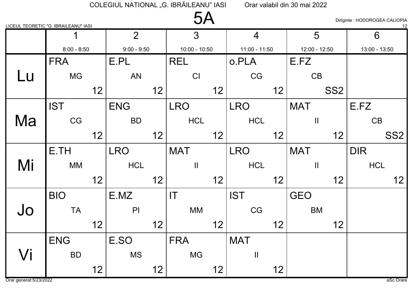| ∕<br>JI |  |
|---------|--|
|         |  |

Diriginte : HODOROGEA CALIOPIA

|    | <u>LICEUL TEORETIC "G. IBRAILEANU" IASI</u> |    |                |    |                 |                 |                   |    |               |                 |               | <u>_12</u>      |
|----|---------------------------------------------|----|----------------|----|-----------------|-----------------|-------------------|----|---------------|-----------------|---------------|-----------------|
|    |                                             |    | $\overline{2}$ |    | $\overline{3}$  |                 | $\overline{4}$    |    | 5             |                 | 6             |                 |
|    | $8:00 - 8:50$                               |    | $9:00 - 9:50$  |    | $10:00 - 10:50$ |                 | $11:00 - 11:50$   |    | 12:00 - 12:50 |                 | 13:00 - 13:50 |                 |
|    | <b>FRA</b>                                  |    | E.PL           |    | <b>REL</b>      |                 | o.PLA             |    | E.FZ          |                 |               |                 |
| Lu | <b>MG</b>                                   |    | AN             |    | CI              |                 | CG                |    | CB            |                 |               |                 |
|    |                                             | 12 |                | 12 |                 | 12              |                   | 12 |               | SS <sub>2</sub> |               |                 |
|    | <b>IST</b>                                  |    | <b>ENG</b>     |    | <b>LRO</b>      |                 | <b>LRO</b>        |    | <b>MAT</b>    |                 | E.FZ          |                 |
| Ma | CG                                          |    | <b>BD</b>      |    | <b>HCL</b>      |                 | <b>HCL</b>        |    | $\mathbf{H}$  |                 | CB            |                 |
|    |                                             | 12 |                | 12 |                 | 12 <sup>2</sup> |                   | 12 |               | 12              |               | SS <sub>2</sub> |
|    | E.TH                                        |    | <b>LRO</b>     |    | <b>MAT</b>      |                 | <b>LRO</b>        |    | <b>MAT</b>    |                 | <b>DIR</b>    |                 |
| Mi | <b>MM</b>                                   |    | <b>HCL</b>     |    | $\mathbf{I}$    |                 | <b>HCL</b>        |    | $\mathbf{H}$  |                 | <b>HCL</b>    |                 |
|    |                                             | 12 |                | 12 |                 | 12              |                   | 12 |               | 12              |               | 12              |
|    | <b>BIO</b>                                  |    | E.MZ           |    | IT              |                 | <b>IST</b>        |    | <b>GEO</b>    |                 |               |                 |
| Jo | <b>TA</b>                                   |    | P              |    | <b>MM</b>       |                 | CG                |    | <b>BM</b>     |                 |               |                 |
|    |                                             | 12 |                | 12 |                 | 12              |                   | 12 |               | 12              |               |                 |
|    | <b>ENG</b>                                  |    | E.SO           |    | <b>FRA</b>      |                 | <b>MAT</b>        |    |               |                 |               |                 |
| Vi | <b>BD</b>                                   |    | <b>MS</b>      |    | <b>MG</b>       |                 | $\prod_{i=1}^{n}$ |    |               |                 |               |                 |
|    |                                             | 12 |                | 12 |                 | 12              |                   | 12 |               |                 |               |                 |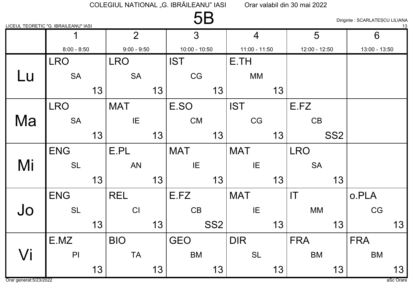|    | LICEUL TEORETIC "G. IBRAILEANU" IASI |    |                |    | <b>5B</b>       |                 |                 |    |                        |                 | Diriginte : SCARLATESCU LILIANA | 13 |
|----|--------------------------------------|----|----------------|----|-----------------|-----------------|-----------------|----|------------------------|-----------------|---------------------------------|----|
|    | 1                                    |    | $\overline{2}$ |    | 3               |                 | $\overline{4}$  |    | 5                      |                 | 6                               |    |
|    | $8:00 - 8:50$                        |    | $9:00 - 9:50$  |    | $10:00 - 10:50$ |                 | $11:00 - 11:50$ |    | 12:00 - 12:50          |                 | 13:00 - 13:50                   |    |
|    | <b>LRO</b>                           |    | <b>LRO</b>     |    | <b>IST</b>      |                 | E.TH            |    |                        |                 |                                 |    |
| Lu | <b>SA</b>                            |    | <b>SA</b>      |    | CG              |                 | MM              |    |                        |                 |                                 |    |
|    |                                      | 13 |                | 13 |                 | 13              |                 | 13 |                        |                 |                                 |    |
|    | <b>LRO</b>                           |    | <b>MAT</b>     |    | E.SO            |                 | <b>IST</b>      |    | E.FZ                   |                 |                                 |    |
| Ma | <b>SA</b>                            |    | IE             |    | <b>CM</b>       |                 | CG              |    | CB                     |                 |                                 |    |
|    |                                      | 13 |                | 13 |                 | 13              |                 | 13 |                        | SS <sub>2</sub> |                                 |    |
|    | <b>ENG</b>                           |    | E.PL           |    | <b>MAT</b>      |                 | <b>MAT</b>      |    | <b>LRO</b>             |                 |                                 |    |
| Mi | <b>SL</b>                            |    | <b>AN</b>      |    | IE              |                 | IE              |    | <b>SA</b>              |                 |                                 |    |
|    |                                      | 13 |                | 13 |                 | 13              |                 | 13 |                        | 13              |                                 |    |
|    | <b>ENG</b>                           |    | <b>REL</b>     |    | E.FZ            |                 | <b>MAT</b>      |    | $\mathsf{I}\mathsf{T}$ |                 | o.PLA                           |    |
| Jo | <b>SL</b>                            |    | CI             |    | CB              |                 | IE              |    | MM                     |                 | CG                              |    |
|    |                                      | 13 |                | 13 |                 | SS <sub>2</sub> |                 | 13 |                        | 13              |                                 | 13 |
|    | E.MZ                                 |    | <b>BIO</b>     |    | <b>GEO</b>      |                 | <b>DIR</b>      |    | <b>FRA</b>             |                 | <b>FRA</b>                      |    |
| Vi | $\mathsf{PI}$                        |    | <b>TA</b>      |    | <b>BM</b>       |                 | <b>SL</b>       |    | <b>BM</b>              |                 | <b>BM</b>                       |    |
|    |                                      | 13 |                | 13 |                 | 13              |                 | 13 |                        | 13              |                                 | 13 |

Orar generat: 5/23/2022

aSc Orare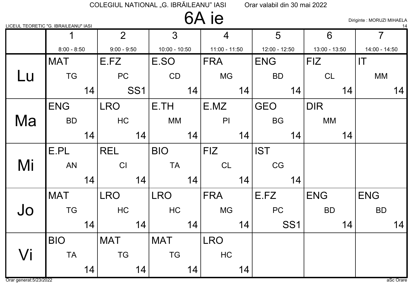### 6A ie

Diriginte : MORUZI MIHAELA

| LICEUL TEORETIC "G. IBRAILEANU" IASI |               |    |                |            |                 |    |                |    |               |                 |               |    |                | $\frac{14}{1}$ |
|--------------------------------------|---------------|----|----------------|------------|-----------------|----|----------------|----|---------------|-----------------|---------------|----|----------------|----------------|
|                                      |               |    | 2 <sup>1</sup> |            | 3               |    | $\overline{4}$ |    | 5             |                 | 6             |    | $\overline{7}$ |                |
|                                      | $8:00 - 8:50$ |    | $9:00 - 9:50$  |            | $10:00 - 10:50$ |    | 11:00 - 11:50  |    | 12:00 - 12:50 |                 | 13:00 - 13:50 |    | 14:00 - 14:50  |                |
|                                      | <b>MAT</b>    |    | E.FZ           |            | E.SO            |    | <b>FRA</b>     |    | <b>ENG</b>    |                 | <b>FIZ</b>    |    | IT             |                |
| Lu                                   | <b>TG</b>     |    | PC             |            | CD              |    | <b>MG</b>      |    | <b>BD</b>     |                 | CL            |    | <b>MM</b>      |                |
|                                      |               | 14 |                | <b>SS1</b> |                 | 14 |                | 14 |               | 14              |               | 14 |                | 14             |
|                                      | <b>ENG</b>    |    | <b>LRO</b>     |            | E.TH            |    | E.MZ           |    | <b>GEO</b>    |                 | <b>DIR</b>    |    |                |                |
| Ma                                   | <b>BD</b>     |    | HC             |            | <b>MM</b>       |    | PI             |    | <b>BG</b>     |                 | <b>MM</b>     |    |                |                |
|                                      |               | 14 |                | 14         |                 | 14 |                | 14 |               | 14              |               | 14 |                |                |
|                                      | E.PL          |    | <b>REL</b>     |            | <b>BIO</b>      |    | <b>FIZ</b>     |    | <b>IST</b>    |                 |               |    |                |                |
| Mi                                   | <b>AN</b>     |    | CI             |            | <b>TA</b>       |    | CL             |    | CG            |                 |               |    |                |                |
|                                      |               | 14 |                | 14         |                 | 14 |                | 14 |               | 14              |               |    |                |                |
|                                      | <b>MAT</b>    |    | <b>LRO</b>     |            | <b>LRO</b>      |    | <b>FRA</b>     |    | E.FZ          |                 | <b>ENG</b>    |    | <b>ENG</b>     |                |
| Jo                                   | <b>TG</b>     |    | HC             |            | HC              |    | <b>MG</b>      |    | PC            |                 | <b>BD</b>     |    | <b>BD</b>      |                |
|                                      |               | 14 |                | 14         |                 | 14 |                | 14 |               | SS <sub>1</sub> |               | 14 |                | 14             |
|                                      | <b>BIO</b>    |    | <b>MAT</b>     |            | <b>MAT</b>      |    | <b>LRO</b>     |    |               |                 |               |    |                |                |
| Vi                                   | <b>TA</b>     |    | <b>TG</b>      |            | <b>TG</b>       |    | <b>HC</b>      |    |               |                 |               |    |                |                |
|                                      |               | 14 |                | 14         |                 | 14 |                | 14 |               |                 |               |    |                |                |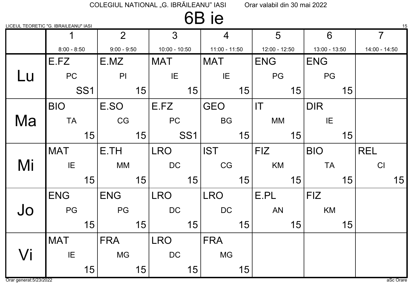### 6B ie

LICEUL TEORETIC "G. IBRAILEANU" IASI 15

|    | $\mathbf 1$   |                 | $\overline{2}$ |    | $\overline{3}$  |                 | $\overline{4}$  |    | 5                      |    | 6             |    | $\overline{7}$ |
|----|---------------|-----------------|----------------|----|-----------------|-----------------|-----------------|----|------------------------|----|---------------|----|----------------|
|    | $8:00 - 8:50$ |                 | $9:00 - 9:50$  |    | $10:00 - 10:50$ |                 | $11:00 - 11:50$ |    | 12:00 - 12:50          |    | 13:00 - 13:50 |    | 14:00 - 14:50  |
|    | E.FZ          |                 | E.MZ           |    | <b>MAT</b>      |                 | <b>MAT</b>      |    | <b>ENG</b>             |    | <b>ENG</b>    |    |                |
| Lu | PC            |                 | P <sub>1</sub> |    | IE              |                 | IE              |    | PG                     |    | PG            |    |                |
|    |               | SS <sub>1</sub> |                | 15 |                 | 15              |                 | 15 |                        | 15 |               | 15 |                |
|    | <b>BIO</b>    |                 | E.SO           |    | E.FZ            |                 | <b>GEO</b>      |    | $\mathsf{I}\mathsf{T}$ |    | <b>DIR</b>    |    |                |
| Ma | <b>TA</b>     |                 | CG             |    | PC              |                 | <b>BG</b>       |    | MM                     |    | IE            |    |                |
|    |               | 15              |                | 15 |                 | SS <sub>1</sub> |                 | 15 |                        | 15 |               | 15 |                |
|    | <b>MAT</b>    |                 | E.TH           |    | <b>LRO</b>      |                 | <b>IST</b>      |    | <b>FIZ</b>             |    | <b>BIO</b>    |    | <b>REL</b>     |
| Mi | IE            |                 | <b>MM</b>      |    | DC              |                 | CG              |    | KM                     |    | <b>TA</b>     |    | CI             |
|    |               | 15              |                | 15 |                 | 15              |                 | 15 |                        | 15 |               | 15 | 15             |
|    | <b>ENG</b>    |                 | <b>ENG</b>     |    | <b>LRO</b>      |                 | <b>LRO</b>      |    | E.PL                   |    | <b>FIZ</b>    |    |                |
| Jo | PG            |                 | PG             |    | <b>DC</b>       |                 | <b>DC</b>       |    | <b>AN</b>              |    | KM            |    |                |
|    |               | 15              |                | 15 |                 | 15              |                 | 15 |                        | 15 |               | 15 |                |
|    | <b>MAT</b>    |                 | <b>FRA</b>     |    | <b>LRO</b>      |                 | <b>FRA</b>      |    |                        |    |               |    |                |
| Vi | IE            |                 | <b>MG</b>      |    | <b>DC</b>       |                 | <b>MG</b>       |    |                        |    |               |    |                |
|    |               | 15              |                | 15 |                 | 15              |                 | 15 |                        |    |               |    |                |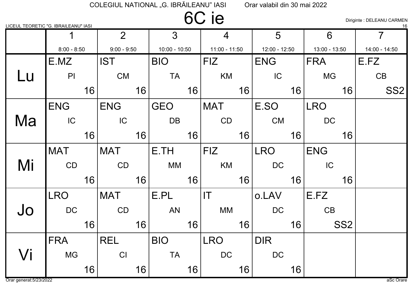### 6C ie

Diriginte : DELEANU CARMEN

|    | LICEUL TEORETIC "G. IBRAILEANU" IASI |    |                |    |                 |    |                        |    |                 |    |                 |                 | 16              |
|----|--------------------------------------|----|----------------|----|-----------------|----|------------------------|----|-----------------|----|-----------------|-----------------|-----------------|
|    |                                      |    | 2 <sup>1</sup> |    | 3               |    | 4                      |    | 5               |    | 6               |                 | $\overline{7}$  |
|    | $8:00 - 8:50$                        |    | $9:00 - 9:50$  |    | $10:00 - 10:50$ |    | $11:00 - 11:50$        |    | $12:00 - 12:50$ |    | $13:00 - 13:50$ |                 | 14:00 - 14:50   |
|    | E.MZ                                 |    | <b>IST</b>     |    | <b>BIO</b>      |    | <b>FIZ</b>             |    | <b>ENG</b>      |    | <b>FRA</b>      |                 | E.FZ            |
| Lu | P <sub>l</sub>                       |    | <b>CM</b>      |    | <b>TA</b>       |    | KM                     |    | IC              |    | <b>MG</b>       |                 | CB              |
|    |                                      | 16 |                | 16 |                 | 16 |                        | 16 |                 | 16 |                 | 16              | SS <sub>2</sub> |
|    | <b>ENG</b>                           |    | <b>ENG</b>     |    | <b>GEO</b>      |    | <b>MAT</b>             |    | E.SO            |    | <b>LRO</b>      |                 |                 |
| Ma | IC                                   |    | IC             |    | <b>DB</b>       |    | CD                     |    | <b>CM</b>       |    | <b>DC</b>       |                 |                 |
|    |                                      | 16 |                | 16 |                 | 16 |                        | 16 |                 | 16 |                 | 16              |                 |
|    | <b>MAT</b>                           |    | <b>MAT</b>     |    | E.TH            |    | <b>FIZ</b>             |    | <b>LRO</b>      |    | <b>ENG</b>      |                 |                 |
| Mi | CD                                   |    | CD             |    | MM              |    | KM                     |    | <b>DC</b>       |    | IC              |                 |                 |
|    |                                      | 16 |                | 16 |                 | 16 |                        | 16 |                 | 16 |                 | 16              |                 |
|    | <b>LRO</b>                           |    | <b>MAT</b>     |    | E.PL            |    | $\mathsf{I}\mathsf{T}$ |    | o.LAV           |    | E.FZ            |                 |                 |
| Jo | <b>DC</b>                            |    | CD             |    | <b>AN</b>       |    | MM                     |    | <b>DC</b>       |    | CB              |                 |                 |
|    |                                      | 16 |                | 16 |                 | 16 |                        | 16 |                 | 16 |                 | SS <sub>2</sub> |                 |
|    | <b>FRA</b>                           |    | <b>REL</b>     |    | <b>BIO</b>      |    | <b>LRO</b>             |    | <b>DIR</b>      |    |                 |                 |                 |
| Vi | <b>MG</b>                            |    | CI             |    | <b>TA</b>       |    | <b>DC</b>              |    | <b>DC</b>       |    |                 |                 |                 |
|    |                                      | 16 |                | 16 |                 | 16 |                        | 16 |                 | 16 |                 |                 |                 |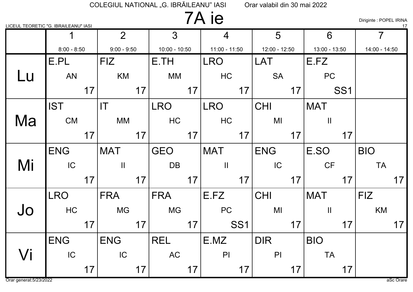### 7A ie

Diriginte : POPEL IRINA

| LICEUL TEORETIC "G. IBRAILEANU" IASI |               |    |                |    |                 |    |                 |                 |                 |    |               |                 |                | 17 |
|--------------------------------------|---------------|----|----------------|----|-----------------|----|-----------------|-----------------|-----------------|----|---------------|-----------------|----------------|----|
|                                      |               |    | 2 <sup>1</sup> |    | $\overline{3}$  |    | $\overline{4}$  |                 | 5               |    | 6             |                 | $\overline{7}$ |    |
|                                      | $8:00 - 8:50$ |    | $9:00 - 9:50$  |    | $10:00 - 10:50$ |    | $11:00 - 11:50$ |                 | $12:00 - 12:50$ |    | 13:00 - 13:50 |                 | 14:00 - 14:50  |    |
|                                      | E.PL          |    | <b>FIZ</b>     |    | E.TH            |    | <b>LRO</b>      |                 | LAT             |    | E.FZ          |                 |                |    |
| Lu                                   | <b>AN</b>     |    | KM             |    | MM              |    | <b>HC</b>       |                 | <b>SA</b>       |    | <b>PC</b>     |                 |                |    |
|                                      |               | 17 |                | 17 |                 | 17 |                 | 17              |                 | 17 |               | SS <sub>1</sub> |                |    |
|                                      | <b>IST</b>    |    | T              |    | <b>LRO</b>      |    | <b>LRO</b>      |                 | <b>CHI</b>      |    | <b>MAT</b>    |                 |                |    |
| Ma                                   | <b>CM</b>     |    | МM             |    | <b>HC</b>       |    | HC              |                 | MI              |    | $\mathbf{II}$ |                 |                |    |
|                                      |               | 17 |                | 17 |                 | 17 |                 | 17              |                 | 17 |               | 17              |                |    |
|                                      | <b>ENG</b>    |    | <b>MAT</b>     |    | <b>GEO</b>      |    | <b>MAT</b>      |                 | <b>ENG</b>      |    | E.SO          |                 | <b>BIO</b>     |    |
| Mi                                   | IC            |    | $\mathbf{H}$   |    | <b>DB</b>       |    | $\mathbf{II}$   |                 | IC              |    | CF            |                 | <b>TA</b>      |    |
|                                      |               | 17 |                | 17 |                 | 17 |                 | 17              |                 | 17 |               | 17              |                | 17 |
|                                      | <b>LRO</b>    |    | <b>FRA</b>     |    | <b>FRA</b>      |    | E.FZ            |                 | <b>CHI</b>      |    | <b>MAT</b>    |                 | <b>FIZ</b>     |    |
| Jo                                   | HC            |    | <b>MG</b>      |    | <b>MG</b>       |    | <b>PC</b>       |                 | MI              |    | $\mathbf{I}$  |                 | KM             |    |
|                                      |               | 17 |                | 17 |                 | 17 |                 | SS <sub>1</sub> |                 | 17 |               | 17              |                | 17 |
|                                      | <b>ENG</b>    |    | <b>ENG</b>     |    | <b>REL</b>      |    | E.MZ            |                 | <b>DIR</b>      |    | <b>BIO</b>    |                 |                |    |
| Vi                                   | IC            |    | IC             |    | AC              |    | PI              |                 | PI              |    | <b>TA</b>     |                 |                |    |
|                                      |               | 17 |                | 17 |                 | 17 |                 | 17              |                 | 17 |               | 17              |                |    |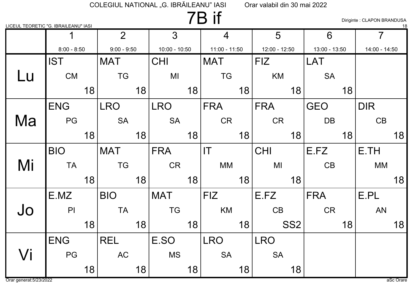### 7B if

Diriginte : CLAPON BRANDUSA

| <u>LICEUL TEORETIC "G. IBRAILEANU" IASI</u> |               |    |                |    |                 |    |                        |    |                 |                 |                 |    |                | 18 |
|---------------------------------------------|---------------|----|----------------|----|-----------------|----|------------------------|----|-----------------|-----------------|-----------------|----|----------------|----|
|                                             |               |    | 2 <sup>1</sup> |    | 3               |    | $\overline{4}$         |    | 5               |                 | 6               |    | $\overline{7}$ |    |
|                                             | $8:00 - 8:50$ |    | $9:00 - 9:50$  |    | $10:00 - 10:50$ |    | $11:00 - 11:50$        |    | $12:00 - 12:50$ |                 | $13:00 - 13:50$ |    | 14:00 - 14:50  |    |
|                                             | <b>IST</b>    |    | <b>MAT</b>     |    | <b>CHI</b>      |    | <b>MAT</b>             |    | <b>FIZ</b>      |                 | LAT             |    |                |    |
| Lu                                          | <b>CM</b>     |    | <b>TG</b>      |    | MI              |    | <b>TG</b>              |    | <b>KM</b>       |                 | <b>SA</b>       |    |                |    |
|                                             |               | 18 |                | 18 |                 | 18 |                        | 18 |                 | 18              |                 | 18 |                |    |
|                                             | <b>ENG</b>    |    | <b>LRO</b>     |    | <b>LRO</b>      |    | <b>FRA</b>             |    | <b>FRA</b>      |                 | <b>GEO</b>      |    | <b>DIR</b>     |    |
| Ma                                          | PG            |    | <b>SA</b>      |    | <b>SA</b>       |    | <b>CR</b>              |    | <b>CR</b>       |                 | <b>DB</b>       |    | CB             |    |
|                                             |               | 18 |                | 18 |                 | 18 |                        | 18 |                 | 18              |                 | 18 |                | 18 |
|                                             | <b>BIO</b>    |    | <b>MAT</b>     |    | <b>FRA</b>      |    | $\mathsf{I}\mathsf{T}$ |    | <b>CHI</b>      |                 | E.FZ            |    | E.TH           |    |
| Mi                                          | <b>TA</b>     |    | <b>TG</b>      |    | <b>CR</b>       |    | <b>MM</b>              |    | MI              |                 | CB              |    | <b>MM</b>      |    |
|                                             |               | 18 |                | 18 |                 | 18 |                        | 18 |                 | 18              |                 |    |                | 18 |
|                                             | E.MZ          |    | <b>BIO</b>     |    | <b>MAT</b>      |    | <b>FIZ</b>             |    | E.FZ            |                 | <b>FRA</b>      |    | E.PL           |    |
| Jo                                          | P             |    | <b>TA</b>      |    | <b>TG</b>       |    | KM                     |    | CB              |                 | <b>CR</b>       |    | <b>AN</b>      |    |
|                                             |               | 18 |                | 18 |                 | 18 |                        | 18 |                 | SS <sub>2</sub> |                 | 18 |                | 18 |
|                                             | <b>ENG</b>    |    | <b>REL</b>     |    | E.SO            |    | <b>LRO</b>             |    | <b>LRO</b>      |                 |                 |    |                |    |
| Vi                                          | PG            |    | <b>AC</b>      |    | <b>MS</b>       |    | <b>SA</b>              |    | <b>SA</b>       |                 |                 |    |                |    |
|                                             |               | 18 |                | 18 |                 | 18 |                        | 18 |                 | 18              |                 |    |                |    |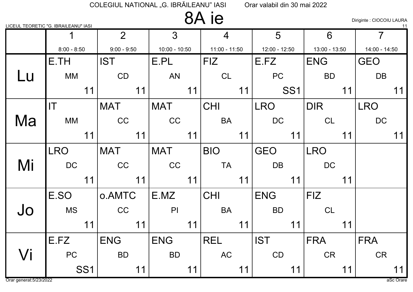### 8A ie

Diriginte : CIOCOIU LAURA

|    | LICEUL TEORETIC "G. IBRAILEANU" IASI |    |                |                 |    |                 |    |                 |                 |               |    |                | <u>_11</u> |
|----|--------------------------------------|----|----------------|-----------------|----|-----------------|----|-----------------|-----------------|---------------|----|----------------|------------|
|    |                                      |    | 2 <sup>1</sup> | $\overline{3}$  |    | $\overline{4}$  |    | 5               |                 | 6             |    | $\overline{7}$ |            |
|    | $8:00 - 8:50$                        |    | $9:00 - 9:50$  | $10:00 - 10:50$ |    | $11:00 - 11:50$ |    | $12:00 - 12:50$ |                 | 13:00 - 13:50 |    | 14:00 - 14:50  |            |
|    | E.TH                                 |    | <b>IST</b>     | E.PL            |    | <b>FIZ</b>      |    | E.FZ            |                 | <b>ENG</b>    |    | <b>GEO</b>     |            |
| Lu | <b>MM</b>                            |    | CD             | <b>AN</b>       |    | <b>CL</b>       |    | PC              |                 | <b>BD</b>     |    | <b>DB</b>      |            |
|    |                                      | 11 | 11             |                 | 11 |                 | 11 |                 | SS <sub>1</sub> |               | 11 |                | 11         |
|    | $\mathsf{I}\mathsf{T}$               |    | <b>MAT</b>     | <b>MAT</b>      |    | <b>CHI</b>      |    | <b>LRO</b>      |                 | <b>DIR</b>    |    | <b>LRO</b>     |            |
| Ma | <b>MM</b>                            |    | CC             | CC              |    | <b>BA</b>       |    | <b>DC</b>       |                 | <b>CL</b>     |    | <b>DC</b>      |            |
|    |                                      | 11 | 11             |                 | 11 |                 | 11 |                 | 11              |               | 11 |                | 11         |
|    | <b>LRO</b>                           |    | <b>MAT</b>     | <b>MAT</b>      |    | <b>BIO</b>      |    | <b>GEO</b>      |                 | <b>LRO</b>    |    |                |            |
| Mi | DC                                   |    | CC             | CC              |    | <b>TA</b>       |    | <b>DB</b>       |                 | <b>DC</b>     |    |                |            |
|    |                                      | 11 | 11             |                 | 11 |                 | 11 |                 | 11              |               | 11 |                |            |
|    | E.SO                                 |    | o.AMTC         | E.MZ            |    | <b>CHI</b>      |    | <b>ENG</b>      |                 | <b>FIZ</b>    |    |                |            |
| Jo | <b>MS</b>                            |    | CC             | PI              |    | <b>BA</b>       |    | <b>BD</b>       |                 | CL            |    |                |            |
|    |                                      | 11 | 11             |                 | 11 |                 | 11 |                 | 11              |               | 11 |                |            |
|    | E.FZ                                 |    | <b>ENG</b>     | <b>ENG</b>      |    | <b>REL</b>      |    | <b>IST</b>      |                 | <b>FRA</b>    |    | <b>FRA</b>     |            |
| Vi | <b>PC</b>                            |    | <b>BD</b>      | <b>BD</b>       |    | <b>AC</b>       |    | CD              |                 | <b>CR</b>     |    | <b>CR</b>      |            |
|    | SS <sub>1</sub>                      |    | 11             |                 | 11 |                 | 11 |                 | 11              |               | 11 |                | 11         |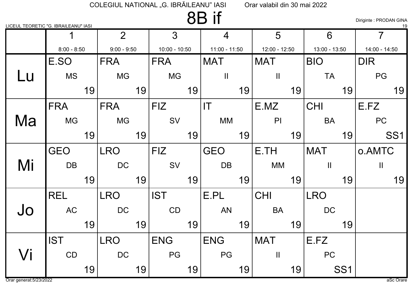#### 8B if

Diriginte : PRODAN GINA

|    | <u>LICEUL TEORETIC "G. IBRAILEANU" IASI</u> |    |                |    |                 |    |                        |    |               |    |               |                 |                | <u> 19</u>      |
|----|---------------------------------------------|----|----------------|----|-----------------|----|------------------------|----|---------------|----|---------------|-----------------|----------------|-----------------|
|    |                                             |    | $\overline{2}$ |    | 3               |    | $\overline{4}$         |    | 5             |    | 6             |                 | $\overline{7}$ |                 |
|    | $8:00 - 8:50$                               |    | $9:00 - 9:50$  |    | $10:00 - 10:50$ |    | $11:00 - 11:50$        |    | 12:00 - 12:50 |    | 13:00 - 13:50 |                 | 14:00 - 14:50  |                 |
|    | E.SO                                        |    | <b>FRA</b>     |    | <b>FRA</b>      |    | <b>MAT</b>             |    | <b>MAT</b>    |    | <b>BIO</b>    |                 | <b>DIR</b>     |                 |
| Lu | <b>MS</b>                                   |    | <b>MG</b>      |    | <b>MG</b>       |    | $\mathbf{II}$          |    | $\mathbf{I}$  |    | <b>TA</b>     |                 | PG             |                 |
|    |                                             | 19 |                | 19 |                 | 19 |                        | 19 |               | 19 |               | 19              |                | 19              |
|    | <b>FRA</b>                                  |    | <b>FRA</b>     |    | <b>FIZ</b>      |    | $\mathsf{I}\mathsf{T}$ |    | E.MZ          |    | <b>CHI</b>    |                 | E.FZ           |                 |
| Ma | <b>MG</b>                                   |    | <b>MG</b>      |    | SV              |    | MM                     |    | PI            |    | <b>BA</b>     |                 | PC             |                 |
|    |                                             | 19 |                | 19 |                 | 19 |                        | 19 |               | 19 |               | 19              |                | SS <sub>1</sub> |
|    | <b>GEO</b>                                  |    | <b>LRO</b>     |    | <b>FIZ</b>      |    | <b>GEO</b>             |    | E.TH          |    | <b>MAT</b>    |                 | o.AMTC         |                 |
| Mi | <b>DB</b>                                   |    | <b>DC</b>      |    | SV              |    | <b>DB</b>              |    | <b>MM</b>     |    | $\mathbf{II}$ |                 | $\mathbf{II}$  |                 |
|    |                                             | 19 |                | 19 |                 | 19 |                        | 19 |               | 19 |               | 19              |                | 19              |
|    | <b>REL</b>                                  |    | <b>LRO</b>     |    | <b>IST</b>      |    | E.PL                   |    | <b>CHI</b>    |    | <b>LRO</b>    |                 |                |                 |
| Jo | <b>AC</b>                                   |    | <b>DC</b>      |    | CD              |    | <b>AN</b>              |    | <b>BA</b>     |    | <b>DC</b>     |                 |                |                 |
|    |                                             | 19 |                | 19 |                 | 19 |                        | 19 |               | 19 |               | 19              |                |                 |
|    | <b>IST</b>                                  |    | <b>LRO</b>     |    | <b>ENG</b>      |    | <b>ENG</b>             |    | <b>MAT</b>    |    | E.FZ          |                 |                |                 |
| Vi | CD                                          |    | <b>DC</b>      |    | PG              |    | PG                     |    | $\mathbf{I}$  |    | <b>PC</b>     |                 |                |                 |
|    |                                             | 19 |                | 19 |                 | 19 |                        | 19 |               | 19 |               | SS <sub>1</sub> |                |                 |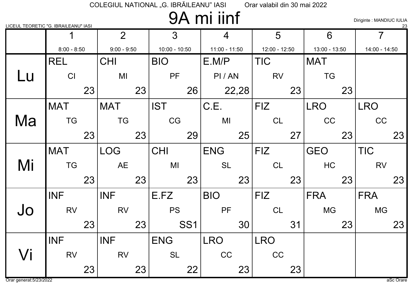# 9A mi iinf

Diriginte : MANDIUC IULIA

| LICEUL TEORETIC "G. IBRAILEANU" IASI |               |    |                |    |                 |                 |                 |       |               |    |               |    |                | $\frac{23}{2}$ |
|--------------------------------------|---------------|----|----------------|----|-----------------|-----------------|-----------------|-------|---------------|----|---------------|----|----------------|----------------|
|                                      |               |    | 2 <sup>1</sup> |    | 3               |                 | $\overline{4}$  |       | 5             |    | 6             |    | $\overline{7}$ |                |
|                                      | $8:00 - 8:50$ |    | $9:00 - 9:50$  |    | $10:00 - 10:50$ |                 | $11:00 - 11:50$ |       | 12:00 - 12:50 |    | 13:00 - 13:50 |    | 14:00 - 14:50  |                |
|                                      | <b>REL</b>    |    | <b>CHI</b>     |    | <b>BIO</b>      |                 | E.M/P           |       | <b>TIC</b>    |    | <b>MAT</b>    |    |                |                |
| Lu                                   | CI            |    | M <sub>l</sub> |    | PF              |                 | PI/AN           |       | <b>RV</b>     |    | <b>TG</b>     |    |                |                |
|                                      |               | 23 |                | 23 |                 | 26              |                 | 22,28 |               | 23 |               | 23 |                |                |
|                                      | <b>MAT</b>    |    | <b>MAT</b>     |    | <b>IST</b>      |                 | C.E.            |       | <b>FIZ</b>    |    | <b>LRO</b>    |    | <b>LRO</b>     |                |
| Ma                                   | <b>TG</b>     |    | <b>TG</b>      |    | CG              |                 | MI              |       | <b>CL</b>     |    | CC            |    | CC             |                |
|                                      |               | 23 |                | 23 |                 | 29              |                 | 25    |               | 27 |               | 23 |                | 23             |
|                                      | <b>MAT</b>    |    | <b>LOG</b>     |    | <b>CHI</b>      |                 | <b>ENG</b>      |       | <b>FIZ</b>    |    | <b>GEO</b>    |    | <b>TIC</b>     |                |
| Mi                                   | <b>TG</b>     |    | AE             |    | MI              |                 | <b>SL</b>       |       | CL            |    | HC            |    | <b>RV</b>      |                |
|                                      |               | 23 |                | 23 |                 | 23              |                 | 23    |               | 23 |               | 23 |                | 23             |
|                                      | <b>INF</b>    |    | <b>INF</b>     |    | E.FZ            |                 | <b>BIO</b>      |       | <b>FIZ</b>    |    | <b>FRA</b>    |    | <b>FRA</b>     |                |
| Jo                                   | <b>RV</b>     |    | <b>RV</b>      |    | <b>PS</b>       |                 | PF              |       | <b>CL</b>     |    | <b>MG</b>     |    | <b>MG</b>      |                |
|                                      |               | 23 |                | 23 |                 | SS <sub>1</sub> |                 | 30    |               | 31 |               | 23 |                | 23             |
|                                      | <b>INF</b>    |    | <b>INF</b>     |    | <b>ENG</b>      |                 | <b>LRO</b>      |       | <b>LRO</b>    |    |               |    |                |                |
| Vi                                   | <b>RV</b>     |    | <b>RV</b>      |    | <b>SL</b>       |                 | CC              |       | CC            |    |               |    |                |                |
|                                      |               | 23 |                | 23 |                 | 22              |                 | 23    |               | 23 |               |    |                |                |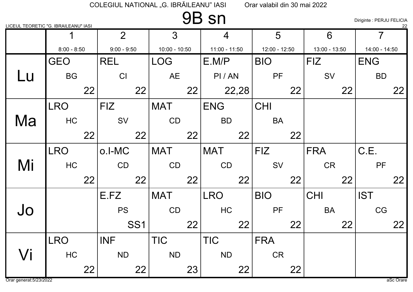### 9B sn

Diriginte : PERJU FELICIA

|    | <u>LICEUL TEORETIC "G. IBRAILEANU" IASI</u> |    |                |                 |                 |    |                |       |               |    |               |    |                | $^{22}$ |
|----|---------------------------------------------|----|----------------|-----------------|-----------------|----|----------------|-------|---------------|----|---------------|----|----------------|---------|
|    |                                             |    | $\overline{2}$ |                 | $\overline{3}$  |    | $\overline{4}$ |       | 5             |    | 6             |    | $\overline{7}$ |         |
|    | $8:00 - 8:50$                               |    | $9:00 - 9:50$  |                 | $10:00 - 10:50$ |    | 11:00 - 11:50  |       | 12:00 - 12:50 |    | 13:00 - 13:50 |    | 14:00 - 14:50  |         |
|    | <b>GEO</b>                                  |    | <b>REL</b>     |                 | <b>LOG</b>      |    | E.M/P          |       | <b>BIO</b>    |    | <b>FIZ</b>    |    | <b>ENG</b>     |         |
| Lu | <b>BG</b>                                   |    | CI             |                 | <b>AE</b>       |    | PI/AN          |       | PF            |    | SV            |    | <b>BD</b>      |         |
|    |                                             | 22 |                | 22              |                 | 22 |                | 22,28 |               | 22 |               | 22 |                | 22      |
|    | <b>LRO</b>                                  |    | <b>FIZ</b>     |                 | <b>MAT</b>      |    | <b>ENG</b>     |       | <b>CHI</b>    |    |               |    |                |         |
| Ma | HC                                          |    | SV             |                 | CD              |    | <b>BD</b>      |       | <b>BA</b>     |    |               |    |                |         |
|    |                                             | 22 |                | 22              |                 | 22 |                | 22    |               | 22 |               |    |                |         |
|    | LRO                                         |    | o.I-MC         |                 | <b>MAT</b>      |    | <b>MAT</b>     |       | <b>FIZ</b>    |    | <b>FRA</b>    |    | C.E.           |         |
| Mi | HC                                          |    | CD             |                 | CD              |    | CD             |       | SV            |    | <b>CR</b>     |    | PF             |         |
|    |                                             | 22 |                | 22              |                 | 22 |                | 22    |               | 22 |               | 22 |                | 22      |
|    |                                             |    | E.FZ           |                 | <b>MAT</b>      |    | <b>LRO</b>     |       | <b>BIO</b>    |    | <b>CHI</b>    |    | <b>IST</b>     |         |
| Jo |                                             |    | <b>PS</b>      |                 | CD              |    | HC             |       | PF            |    | <b>BA</b>     |    | CG             |         |
|    |                                             |    |                | SS <sub>1</sub> |                 | 22 |                | 22    |               | 22 |               | 22 |                | 22      |
|    | <b>LRO</b>                                  |    | <b>INF</b>     |                 | <b>TIC</b>      |    | <b>TIC</b>     |       | <b>FRA</b>    |    |               |    |                |         |
| Vi | HC                                          |    | <b>ND</b>      |                 | <b>ND</b>       |    | <b>ND</b>      |       | <b>CR</b>     |    |               |    |                |         |
|    |                                             | 22 |                | 22              |                 | 23 |                | 22    |               | 22 |               |    |                |         |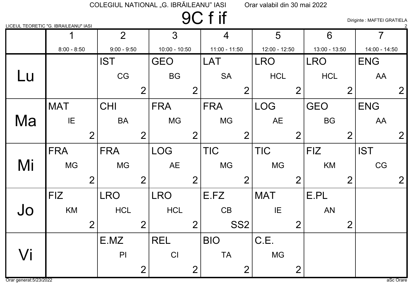9C f if

Diriginte : MAFTEI GRATIELA

|           | <u>LICEUL TEORETIC "G. IBRAILEANU" IASI</u> |                                  |                 |                 |                |                |                |
|-----------|---------------------------------------------|----------------------------------|-----------------|-----------------|----------------|----------------|----------------|
|           |                                             | 2 <sup>1</sup>                   | $\overline{3}$  | $\overline{4}$  | 5              | 6              | $\overline{7}$ |
|           | $8:00 - 8:50$                               | $9:00 - 9:50$                    | $10:00 - 10:50$ | 11:00 - 11:50   | 12:00 - 12:50  | 13:00 - 13:50  | 14:00 - 14:50  |
|           |                                             | <b>IST</b>                       | <b>GEO</b>      | <b>LAT</b>      | <b>LRO</b>     | <b>LRO</b>     | <b>ENG</b>     |
| <b>Lu</b> |                                             | CG                               | <b>BG</b>       | <b>SA</b>       | <b>HCL</b>     | <b>HCL</b>     | AA             |
|           |                                             | $\overline{2}$                   | $\overline{2}$  | $\overline{2}$  | $\overline{2}$ | $\overline{2}$ | $\overline{2}$ |
|           | <b>MAT</b>                                  | CHI                              | <b>FRA</b>      | <b>FRA</b>      | <b>LOG</b>     | <b>GEO</b>     | <b>ENG</b>     |
| Ma        | IE                                          | <b>BA</b>                        | <b>MG</b>       | <b>MG</b>       | <b>AE</b>      | <b>BG</b>      | AA             |
|           |                                             | $\overline{2}$<br>$\overline{2}$ | $\overline{2}$  | $\overline{2}$  | $\overline{2}$ | $\overline{2}$ | $\overline{2}$ |
|           | <b>FRA</b>                                  | <b>FRA</b>                       | <b>LOG</b>      | <b>TIC</b>      | <b>TIC</b>     | <b>FIZ</b>     | <b>IST</b>     |
| Mi        | <b>MG</b>                                   | <b>MG</b>                        | <b>AE</b>       | <b>MG</b>       | <b>MG</b>      | KM             | CG             |
|           |                                             | $\overline{2}$<br>$\overline{2}$ | $\overline{2}$  | $\overline{2}$  | $\overline{2}$ | $\overline{2}$ | $\overline{2}$ |
|           | <b>FIZ</b>                                  | <b>LRO</b>                       | <b>LRO</b>      | E.FZ            | <b>MAT</b>     | E.PL           |                |
| Jo        | KM                                          | <b>HCL</b>                       | <b>HCL</b>      | CB              | IE             | <b>AN</b>      |                |
|           |                                             | $\overline{2}$<br>$\overline{2}$ | $\overline{2}$  | SS <sub>2</sub> | $\overline{2}$ | $\overline{2}$ |                |
|           |                                             | E.MZ                             | <b>REL</b>      | <b>BIO</b>      | C.E.           |                |                |
| Vi        |                                             | P <sub>1</sub>                   | CI              | <b>TA</b>       | <b>MG</b>      |                |                |
|           |                                             | 2                                | $\overline{2}$  | $\overline{2}$  | $\overline{2}$ |                |                |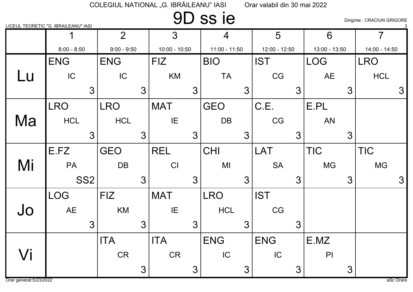## 9D ss ie

Diriginte : CRACIUN GRIGORE

|             | LICEUL TEORETIC "G. IBRAILEANU" IASI |                |                 |                 |               |                 |                 |
|-------------|--------------------------------------|----------------|-----------------|-----------------|---------------|-----------------|-----------------|
|             |                                      | 2 <sup>1</sup> | 3               | $\overline{4}$  | 5             | 6               | $\overline{7}$  |
|             | $8:00 - 8:50$                        | $9:00 - 9:50$  | $10:00 - 10:50$ | $11:00 - 11:50$ | 12:00 - 12:50 | 13:00 - 13:50   | 14:00 - 14:50   |
|             | <b>ENG</b>                           | <b>ENG</b>     | <b>FIZ</b>      | <b>BIO</b>      | <b>IST</b>    | <b>LOG</b>      | <b>LRO</b>      |
| Lu          | IC                                   | IC             | KM              | <b>TA</b>       | CG            | <b>AE</b>       | <b>HCL</b>      |
|             | $\mathbf{3}$                         | $\mathfrak{Z}$ | $\mathbf{3}$    | 3               | 3             | $3\overline{)}$ | $3\overline{3}$ |
|             | <b>LRO</b>                           | <b>LRO</b>     | <b>MAT</b>      | <b>GEO</b>      | C.E.          | E.PL            |                 |
| Ma          | <b>HCL</b>                           | <b>HCL</b>     | IE              | DB              | CG            | <b>AN</b>       |                 |
|             | $\mathcal{S}$                        | 3              | $\mathfrak{S}$  | 3               | 3             | 3 <sup>1</sup>  |                 |
|             | E.FZ                                 | <b>GEO</b>     | <b>REL</b>      | <b>CHI</b>      | <b>LAT</b>    | <b>TIC</b>      | <b>TIC</b>      |
| Mi          | PA                                   | DB             | CI              | MI              | <b>SA</b>     | <b>MG</b>       | <b>MG</b>       |
|             | SS <sub>2</sub>                      | $\mathbf{3}$   | $\mathcal{S}$   | 3               | 3             | $3\overline{3}$ | $\mathfrak{S}$  |
|             | <b>LOG</b>                           | <b>FIZ</b>     | <b>MAT</b>      | <b>LRO</b>      | <b>IST</b>    |                 |                 |
| Jo          | <b>AE</b>                            | KM             | IE              | <b>HCL</b>      | CG            |                 |                 |
|             | 3 <sup>1</sup>                       | $\mathfrak{Z}$ | $\mathbf{3}$    | 3               | 3             |                 |                 |
|             |                                      | <b>ITA</b>     | <b>ITA</b>      | <b>ENG</b>      | <b>ENG</b>    | E.MZ            |                 |
| $\sqrt{}$ i |                                      | <b>CR</b>      | CR              | IC              | IC            | P               |                 |
|             |                                      | 3              | 3               | 3               | 3             | $3\overline{3}$ |                 |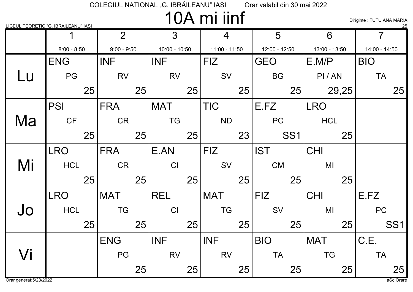# 10A mi iinf

Diriginte : TUTU ANA MARIA

|                     | LICEUL TEORETIC "G. IBRAILEANU" IASI |                |                 |                 |                 |               | 25              |
|---------------------|--------------------------------------|----------------|-----------------|-----------------|-----------------|---------------|-----------------|
|                     |                                      | $\overline{2}$ | $\mathfrak{S}$  | 4               | 5               | 6             | 7               |
|                     | $8:00 - 8:50$                        | $9:00 - 9:50$  | $10:00 - 10:50$ | $11:00 - 11:50$ | 12:00 - 12:50   | 13:00 - 13:50 | 14:00 - 14:50   |
|                     | <b>ENG</b>                           | <b>INF</b>     | <b>INF</b>      | <b>FIZ</b>      | <b>GEO</b>      | E.M/P         | <b>BIO</b>      |
| Lu                  | PG                                   | <b>RV</b>      | <b>RV</b>       | SV              | <b>BG</b>       | PI/AN         | <b>TA</b>       |
|                     | 25                                   | 25             | 25              | 25              | 25              | 29,25         | 25              |
|                     | <b>PSI</b>                           | <b>FRA</b>     | <b>MAT</b>      | <b>TIC</b>      | E.FZ            | <b>LRO</b>    |                 |
| Ma                  | CF                                   | CR             | <b>TG</b>       | <b>ND</b>       | PC              | <b>HCL</b>    |                 |
|                     | 25                                   | 25             | 25              | 23              | SS <sub>1</sub> | 25            |                 |
|                     | <b>LRO</b>                           | <b>FRA</b>     | E.AN            | <b>FIZ</b>      | <b>IST</b>      | <b>CHI</b>    |                 |
| Mi                  | <b>HCL</b>                           | <b>CR</b>      | CI              | SV              | <b>CM</b>       | MI            |                 |
|                     | 25                                   | 25             | 25              | 25              | 25              | 25            |                 |
|                     | <b>LRO</b>                           | <b>MAT</b>     | <b>REL</b>      | <b>MAT</b>      | <b>FIZ</b>      | <b>CHI</b>    | E.FZ            |
| Jo                  | <b>HCL</b>                           | <b>TG</b>      | CI              | <b>TG</b>       | SV              | MI            | PC              |
|                     | 25                                   | 25             | 25              | 25              | 25              | 25            | SS <sub>1</sub> |
|                     |                                      | <b>ENG</b>     | <b>INF</b>      | <b>INF</b>      | <b>BIO</b>      | <b>MAT</b>    | C.E.            |
| $\sqrt{\mathsf{i}}$ |                                      | PG             | <b>RV</b>       | <b>RV</b>       | <b>TA</b>       | <b>TG</b>     | <b>TA</b>       |
|                     |                                      | 25             | 25              | 25              | 25              | 25            | 25              |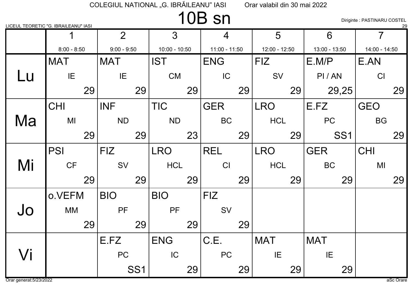### 10B sn

Diriginte : PASTINARU COSTEL

|    | LICEUL TEORETIC "G. IBRAILEANU" IASI |                 |                 |                 |               |                 | 29             |
|----|--------------------------------------|-----------------|-----------------|-----------------|---------------|-----------------|----------------|
|    |                                      | $\overline{2}$  | $\overline{3}$  | 4               | 5             | 6               | $\overline{7}$ |
|    | $8:00 - 8:50$                        | $9:00 - 9:50$   | $10:00 - 10:50$ | $11:00 - 11:50$ | 12:00 - 12:50 | 13:00 - 13:50   | 14:00 - 14:50  |
|    | <b>MAT</b>                           | <b>MAT</b>      | <b>IST</b>      | <b>ENG</b>      | FIZ           | E.M/P           | E.AN           |
| Lu | IE                                   | IE              | <b>CM</b>       | IC              | SV            | PI/AN           | CI             |
|    | 29                                   | 29              | 29              | 29              | 29            | 29,25           | 29             |
|    | <b>CHI</b>                           | <b>INF</b>      | <b>TIC</b>      | <b>GER</b>      | <b>LRO</b>    | E.FZ            | <b>GEO</b>     |
| Ma | MI                                   | <b>ND</b>       | <b>ND</b>       | <b>BC</b>       | <b>HCL</b>    | <b>PC</b>       | <b>BG</b>      |
|    | 29                                   | 29              | 23              | 29              | 29            | SS <sub>1</sub> | 29             |
|    | <b>PSI</b>                           | <b>FIZ</b>      | <b>LRO</b>      | <b>REL</b>      | <b>LRO</b>    | <b>GER</b>      | <b>CHI</b>     |
| Mi | CF                                   | SV              | <b>HCL</b>      | CI              | <b>HCL</b>    | <b>BC</b>       | MI             |
|    | 29                                   | 29              | 29              | 29              | 29            | 29              | 29             |
|    | o.VEFM                               | <b>BIO</b>      | <b>BIO</b>      | <b>FIZ</b>      |               |                 |                |
| Jo | <b>MM</b>                            | PF              | <b>PF</b>       | SV              |               |                 |                |
|    | 29                                   | 29              | 29              | 29              |               |                 |                |
|    |                                      | E.FZ            | <b>ENG</b>      | C.E.            | <b>MAT</b>    | <b>MAT</b>      |                |
| Vi |                                      | <b>PC</b>       | IC              | <b>PC</b>       | IE            | IE              |                |
|    |                                      | SS <sub>1</sub> | 29              | 29              | 29            | 29              |                |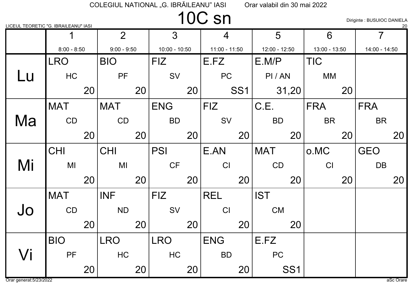## 10C sn

Diriginte : BUSUIOC DANIELA

| LICEUL TEORETIC "G. IBRAILEANU" IASI |               |    |                |    |                 |    |                 |                 |               |                 |               |    |               | 20 |
|--------------------------------------|---------------|----|----------------|----|-----------------|----|-----------------|-----------------|---------------|-----------------|---------------|----|---------------|----|
|                                      |               |    | $\overline{2}$ |    | $\mathfrak{Z}$  |    | 4               |                 | 5             |                 | 6             |    | 7             |    |
|                                      | $8:00 - 8:50$ |    | $9:00 - 9:50$  |    | $10:00 - 10:50$ |    | $11:00 - 11:50$ |                 | 12:00 - 12:50 |                 | 13:00 - 13:50 |    | 14:00 - 14:50 |    |
|                                      | <b>LRO</b>    |    | <b>BIO</b>     |    | <b>FIZ</b>      |    | E.FZ            |                 | E.M/P         |                 | <b>TIC</b>    |    |               |    |
| Lu                                   | HC            |    | <b>PF</b>      |    | SV              |    | <b>PC</b>       |                 | PI/AN         |                 | <b>MM</b>     |    |               |    |
|                                      |               | 20 |                | 20 |                 | 20 |                 | SS <sub>1</sub> |               | 31,20           |               | 20 |               |    |
|                                      | <b>MAT</b>    |    | <b>MAT</b>     |    | <b>ENG</b>      |    | <b>FIZ</b>      |                 | C.E.          |                 | <b>FRA</b>    |    | <b>FRA</b>    |    |
| Ma                                   | CD            |    | CD             |    | <b>BD</b>       |    | SV              |                 | <b>BD</b>     |                 | <b>BR</b>     |    | <b>BR</b>     |    |
|                                      |               | 20 |                | 20 |                 | 20 |                 | 20              |               | 20              |               | 20 |               | 20 |
|                                      | <b>CHI</b>    |    | <b>CHI</b>     |    | <b>PSI</b>      |    | E.AN            |                 | <b>MAT</b>    |                 | o.MC          |    | <b>GEO</b>    |    |
| Mi                                   | MI            |    | MI             |    | CF              |    | CI              |                 | CD            |                 | CI            |    | <b>DB</b>     |    |
|                                      |               | 20 |                | 20 |                 | 20 |                 | 20              |               | 20              |               | 20 |               | 20 |
|                                      | <b>MAT</b>    |    | <b>INF</b>     |    | <b>FIZ</b>      |    | <b>REL</b>      |                 | <b>IST</b>    |                 |               |    |               |    |
| Jo                                   | CD            |    | <b>ND</b>      |    | <b>SV</b>       |    | CI              |                 | <b>CM</b>     |                 |               |    |               |    |
|                                      |               | 20 |                | 20 |                 | 20 |                 | 20              |               | 20              |               |    |               |    |
|                                      | <b>BIO</b>    |    | <b>LRO</b>     |    | <b>LRO</b>      |    | <b>ENG</b>      |                 | E.FZ          |                 |               |    |               |    |
| Vi                                   | <b>PF</b>     |    | HC             |    | HC              |    | <b>BD</b>       |                 | <b>PC</b>     |                 |               |    |               |    |
|                                      |               | 20 |                | 20 |                 | 20 |                 | 20              |               | SS <sub>1</sub> |               |    |               |    |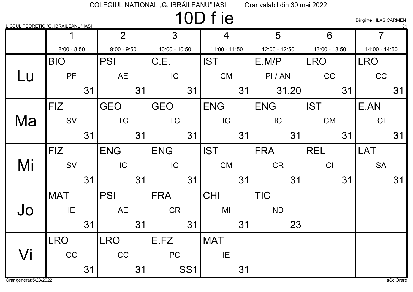# 10D f ie

Diriginte : ILAS CARMEN

| LICEUL TEORETIC "G. IBRAILEANU" IASI |               |    |                |    |                 |                 |                 |    |               |       |               |    |                | 31 |
|--------------------------------------|---------------|----|----------------|----|-----------------|-----------------|-----------------|----|---------------|-------|---------------|----|----------------|----|
|                                      |               |    | $\overline{2}$ |    | 3               |                 | 4               |    | 5             |       | 6             |    | $\overline{7}$ |    |
|                                      | $8:00 - 8:50$ |    | $9:00 - 9:50$  |    | $10:00 - 10:50$ |                 | $11:00 - 11:50$ |    | 12:00 - 12:50 |       | 13:00 - 13:50 |    | 14:00 - 14:50  |    |
|                                      | <b>BIO</b>    |    | <b>PSI</b>     |    | C.E.            |                 | <b>IST</b>      |    | E.M/P         |       | <b>LRO</b>    |    | <b>LRO</b>     |    |
| Lu                                   | PF            |    | <b>AE</b>      |    | IC              |                 | <b>CM</b>       |    | PI/AN         |       | CC            |    | <b>CC</b>      |    |
|                                      |               | 31 |                | 31 |                 | 31              |                 | 31 |               | 31,20 |               | 31 |                | 31 |
|                                      | <b>FIZ</b>    |    | <b>GEO</b>     |    | <b>GEO</b>      |                 | <b>ENG</b>      |    | <b>ENG</b>    |       | <b>IST</b>    |    | E.AN           |    |
| Ma                                   | SV            |    | <b>TC</b>      |    | <b>TC</b>       |                 | IC              |    | IC            |       | CM            |    | CI             |    |
|                                      |               | 31 |                | 31 |                 | 31              |                 | 31 |               | 31    |               | 31 |                | 31 |
|                                      | <b>FIZ</b>    |    | <b>ENG</b>     |    | <b>ENG</b>      |                 | <b>IST</b>      |    | <b>FRA</b>    |       | <b>REL</b>    |    | <b>LAT</b>     |    |
| Mi                                   | SV            |    | IC             |    | IC              |                 | <b>CM</b>       |    | <b>CR</b>     |       | CI            |    | <b>SA</b>      |    |
|                                      |               | 31 |                | 31 |                 | 31              |                 | 31 |               | 31    |               | 31 |                | 31 |
|                                      | <b>MAT</b>    |    | <b>PSI</b>     |    | <b>FRA</b>      |                 | <b>CHI</b>      |    | <b>TIC</b>    |       |               |    |                |    |
| Jo                                   | IE            |    | <b>AE</b>      |    | <b>CR</b>       |                 | MI              |    | <b>ND</b>     |       |               |    |                |    |
|                                      |               | 31 |                | 31 |                 | 31              |                 | 31 |               | 23    |               |    |                |    |
|                                      | <b>LRO</b>    |    | <b>LRO</b>     |    | E.FZ            |                 | <b>MAT</b>      |    |               |       |               |    |                |    |
| Vi                                   | CC            |    | CC             |    | <b>PC</b>       |                 | IE              |    |               |       |               |    |                |    |
|                                      |               | 31 |                | 31 |                 | SS <sub>1</sub> |                 | 31 |               |       |               |    |                |    |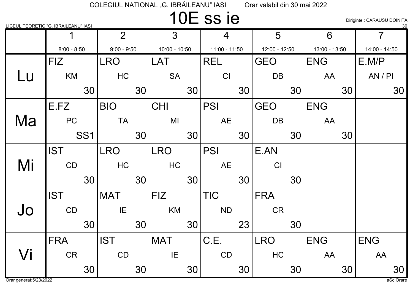## 10E ss ie

Diriginte : CARAUSU DOINITA

|    | LICEUL TEORETIC "G. IBRAILEANU" IASI |                |                 |                 |               |               | 30             |
|----|--------------------------------------|----------------|-----------------|-----------------|---------------|---------------|----------------|
|    | 1                                    | $\overline{2}$ | 3               | 4               | 5             | 6             | $\overline{7}$ |
|    | $8:00 - 8:50$                        | $9:00 - 9:50$  | $10:00 - 10:50$ | $11:00 - 11:50$ | 12:00 - 12:50 | 13:00 - 13:50 | 14:00 - 14:50  |
|    | <b>FIZ</b>                           | <b>LRO</b>     | LAT             | <b>REL</b>      | <b>GEO</b>    | <b>ENG</b>    | E.M/P          |
| Lu | KM                                   | HC             | <b>SA</b>       | CI              | DB            | AA            | AN / PI        |
|    | 30                                   | 30             | 30              | 30              | 30            | 30            | 30             |
|    | E.FZ                                 | <b>BIO</b>     | <b>CHI</b>      | <b>PSI</b>      | <b>GEO</b>    | <b>ENG</b>    |                |
| Ma | PC                                   | <b>TA</b>      | MI              | <b>AE</b>       | <b>DB</b>     | AA            |                |
|    | SS <sub>1</sub>                      | 30             | 30              | 30              | 30            | 30            |                |
|    | <b>IST</b>                           | <b>LRO</b>     | <b>LRO</b>      | <b>PSI</b>      | E.AN          |               |                |
| Mi | CD                                   | HC             | HC              | <b>AE</b>       | CI            |               |                |
|    | 30                                   | 30             | 30              | 30              | 30            |               |                |
|    | <b>IST</b>                           | <b>MAT</b>     | <b>FIZ</b>      | <b>TIC</b>      | <b>FRA</b>    |               |                |
| Jo | CD                                   | IE             | KM              | <b>ND</b>       | <b>CR</b>     |               |                |
|    | 30                                   | 30             | 30              | 23              | 30            |               |                |
|    | <b>FRA</b>                           | <b>IST</b>     | <b>MAT</b>      | C.E.            | <b>LRO</b>    | <b>ENG</b>    | <b>ENG</b>     |
| Vi | <b>CR</b>                            | CD             | IE              | CD              | HC            | AA            | AA             |
|    | 30                                   | 30             | 30              | 30              | 30            | 30            | 30             |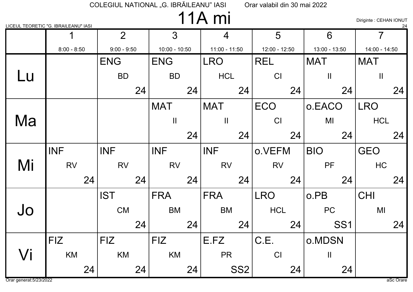11A mi

Diriginte : CEHAN IONUT

|    | LICEUL TEORETIC "G. IBRAILEANU" IASI |                |                 |                 |               |                 | $\frac{24}{}$  |
|----|--------------------------------------|----------------|-----------------|-----------------|---------------|-----------------|----------------|
|    |                                      | $\overline{2}$ | $\overline{3}$  | $\overline{4}$  | 5             | 6               | $\overline{7}$ |
|    | $8:00 - 8:50$                        | $9:00 - 9:50$  | $10:00 - 10:50$ | 11:00 - 11:50   | 12:00 - 12:50 | 13:00 - 13:50   | 14:00 - 14:50  |
|    |                                      | <b>ENG</b>     | <b>ENG</b>      | <b>LRO</b>      | <b>REL</b>    | <b>MAT</b>      | <b>MAT</b>     |
| Lu |                                      | <b>BD</b>      | <b>BD</b>       | <b>HCL</b>      | CI            | $\mathbf{I}$    | $\mathbf{  }$  |
|    |                                      | 24             | 24              | 24              | 24            | 24              | 24             |
|    |                                      |                | <b>MAT</b>      | <b>MAT</b>      | <b>ECO</b>    | o.EACO          | <b>LRO</b>     |
| Ma |                                      |                | $\mathbf{I}$    | $\mathbf{  }$   | CI            | MI              | <b>HCL</b>     |
|    |                                      |                | 24              | 24              | 24            | 24              | 24             |
|    | <b>INF</b>                           | <b>INF</b>     | <b>INF</b>      | <b>INF</b>      | o.VEFM        | <b>BIO</b>      | <b>GEO</b>     |
| Mi | <b>RV</b>                            | <b>RV</b>      | <b>RV</b>       | <b>RV</b>       | <b>RV</b>     | PF              | HC             |
|    | 24                                   | 24             | 24              | 24              | 24            | 24              | 24             |
|    |                                      | <b>IST</b>     | <b>FRA</b>      | <b>FRA</b>      | <b>LRO</b>    | o.PB            | <b>CHI</b>     |
| Jo |                                      | CM             | <b>BM</b>       | <b>BM</b>       | <b>HCL</b>    | PC              | MI             |
|    |                                      | 24             | 24              | 24              | 24            | SS <sub>1</sub> | 24             |
|    | <b>FIZ</b>                           | <b>FIZ</b>     | <b>FIZ</b>      | E.FZ            | C.E.          | o.MDSN          |                |
| Vi | KM                                   | KM             | KM              | <b>PR</b>       | CI            | $\mathbf{  }$   |                |
|    | 24                                   | 24             | 24              | SS <sub>2</sub> | 24            | 24              |                |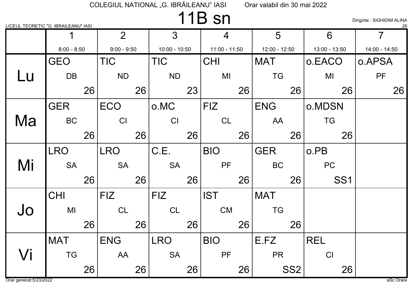## 11B sn

Diriginte : SIGHIDIM ALINA

| LICEUL TEORETIC "G. IBRAILEANU" IASI |               |    |                |    |                 |    |               |    |                 |                 |                 | 26             |
|--------------------------------------|---------------|----|----------------|----|-----------------|----|---------------|----|-----------------|-----------------|-----------------|----------------|
|                                      |               |    | $\overline{2}$ |    | $3\overline{3}$ |    | 4             |    | 5               |                 | 6               | $\overline{7}$ |
|                                      | $8:00 - 8:50$ |    | $9:00 - 9:50$  |    | $10:00 - 10:50$ |    | 11:00 - 11:50 |    | $12:00 - 12:50$ |                 | 13:00 - 13:50   | 14:00 - 14:50  |
|                                      | <b>GEO</b>    |    | <b>TIC</b>     |    | <b>TIC</b>      |    | <b>CHI</b>    |    | <b>MAT</b>      |                 | o.EACO          | o.APSA         |
| Lu                                   | <b>DB</b>     |    | <b>ND</b>      |    | <b>ND</b>       |    | MI            |    | <b>TG</b>       |                 | MI              | PF             |
|                                      |               | 26 |                | 26 |                 | 23 |               | 26 |                 | 26              | 26              | 26             |
|                                      | <b>GER</b>    |    | <b>ECO</b>     |    | o.MC            |    | <b>FIZ</b>    |    | <b>ENG</b>      |                 | o.MDSN          |                |
| Ma                                   | <b>BC</b>     |    | CI             |    | CI              |    | <b>CL</b>     |    | AA              |                 | <b>TG</b>       |                |
|                                      |               | 26 |                | 26 |                 | 26 |               | 26 |                 | 26              | 26              |                |
|                                      | <b>LRO</b>    |    | <b>LRO</b>     |    | C.E.            |    | <b>BIO</b>    |    | <b>GER</b>      |                 | o.PB            |                |
| Mi                                   | <b>SA</b>     |    | <b>SA</b>      |    | <b>SA</b>       |    | PF            |    | <b>BC</b>       |                 | <b>PC</b>       |                |
|                                      |               | 26 |                | 26 |                 | 26 |               | 26 |                 | 26              | SS <sub>1</sub> |                |
|                                      | <b>CHI</b>    |    | <b>FIZ</b>     |    | <b>FIZ</b>      |    | <b>IST</b>    |    | <b>MAT</b>      |                 |                 |                |
| Jo                                   | MI            |    | CL             |    | <b>CL</b>       |    | <b>CM</b>     |    | <b>TG</b>       |                 |                 |                |
|                                      |               | 26 |                | 26 |                 | 26 |               | 26 |                 | 26              |                 |                |
|                                      | <b>MAT</b>    |    | <b>ENG</b>     |    | <b>LRO</b>      |    | <b>BIO</b>    |    | E.FZ            |                 | <b>REL</b>      |                |
| Vi                                   | <b>TG</b>     |    | AA             |    | <b>SA</b>       |    | <b>PF</b>     |    | <b>PR</b>       |                 | CI              |                |
|                                      |               | 26 |                | 26 |                 | 26 |               | 26 |                 | SS <sub>2</sub> | 26              |                |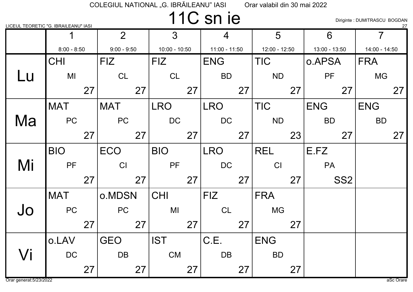## 11C sn ie

Diriginte : DUMITRASCU BOGDAN

|    | LICEUL TEORETIC "G. IBRAILEANU" IASI |    |                |    |                 |    |               |    |               |    |               |                 |                | 27 |
|----|--------------------------------------|----|----------------|----|-----------------|----|---------------|----|---------------|----|---------------|-----------------|----------------|----|
|    |                                      |    | $\overline{2}$ |    | $\overline{3}$  |    | 4             |    | 5             |    | 6             |                 | $\overline{7}$ |    |
|    | $8:00 - 8:50$                        |    | $9:00 - 9:50$  |    | $10:00 - 10:50$ |    | 11:00 - 11:50 |    | 12:00 - 12:50 |    | 13:00 - 13:50 |                 | 14:00 - 14:50  |    |
|    | <b>CHI</b>                           |    | FIZ.           |    | <b>FIZ</b>      |    | <b>ENG</b>    |    | <b>TIC</b>    |    | o.APSA        |                 | <b>FRA</b>     |    |
| Lu | MI                                   |    | <b>CL</b>      |    | <b>CL</b>       |    | <b>BD</b>     |    | <b>ND</b>     |    | PF            |                 | <b>MG</b>      |    |
|    |                                      | 27 |                | 27 |                 | 27 |               | 27 |               | 27 |               | 27              |                | 27 |
|    | <b>MAT</b>                           |    | <b>MAT</b>     |    | <b>LRO</b>      |    | <b>LRO</b>    |    | <b>TIC</b>    |    | <b>ENG</b>    |                 | <b>ENG</b>     |    |
| Ma | <b>PC</b>                            |    | PC             |    | DC              |    | DC            |    | <b>ND</b>     |    | <b>BD</b>     |                 | <b>BD</b>      |    |
|    |                                      | 27 |                | 27 |                 | 27 |               | 27 |               | 23 |               | 27              |                | 27 |
|    | <b>BIO</b>                           |    | <b>ECO</b>     |    | <b>BIO</b>      |    | <b>LRO</b>    |    | REL           |    | E.FZ          |                 |                |    |
| Mi | <b>PF</b>                            |    | CI             |    | <b>PF</b>       |    | <b>DC</b>     |    | CI            |    | <b>PA</b>     |                 |                |    |
|    |                                      | 27 |                | 27 |                 | 27 |               | 27 |               | 27 |               | SS <sub>2</sub> |                |    |
|    | <b>MAT</b>                           |    | o.MDSN         |    | <b>CHI</b>      |    | <b>FIZ</b>    |    | <b>FRA</b>    |    |               |                 |                |    |
| Jo | PC                                   |    | PC             |    | MI              |    | CL            |    | <b>MG</b>     |    |               |                 |                |    |
|    |                                      | 27 |                | 27 |                 | 27 |               | 27 |               | 27 |               |                 |                |    |
|    | o.LAV                                |    | <b>GEO</b>     |    | <b>IST</b>      |    | C.E.          |    | <b>ENG</b>    |    |               |                 |                |    |
| Vi | DC                                   |    | <b>DB</b>      |    | <b>CM</b>       |    | <b>DB</b>     |    | <b>BD</b>     |    |               |                 |                |    |
|    |                                      | 27 |                | 27 |                 | 27 |               | 27 |               | 27 |               |                 |                |    |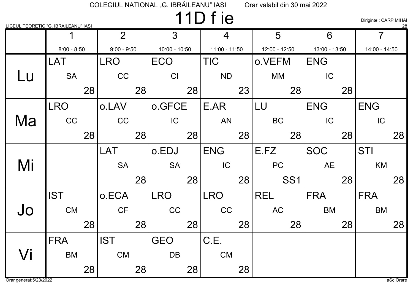# 11D f ie

Diriginte : CARP MIHAI

| LICEUL TEORETIC "G. IBRAILEANU" IASI |               |    |                |                 |               |    |                 |    |               |                 |               |    |               | 28 |
|--------------------------------------|---------------|----|----------------|-----------------|---------------|----|-----------------|----|---------------|-----------------|---------------|----|---------------|----|
|                                      |               |    | $\overline{2}$ |                 | 3             |    | 4               |    | 5             |                 | 6             |    | 7             |    |
|                                      | $8:00 - 8:50$ |    | $9:00 - 9:50$  |                 | 10:00 - 10:50 |    | $11:00 - 11:50$ |    | 12:00 - 12:50 |                 | 13:00 - 13:50 |    | 14:00 - 14:50 |    |
|                                      | LAT           |    | <b>LRO</b>     |                 | <b>ECO</b>    |    | <b>TIC</b>      |    | o.VEFM        |                 | <b>ENG</b>    |    |               |    |
| Lu                                   | <b>SA</b>     |    | CC             |                 | CI            |    | <b>ND</b>       |    | МM            |                 | IC            |    |               |    |
|                                      |               | 28 |                | 28              |               | 28 |                 | 23 |               | 28              |               | 28 |               |    |
|                                      | <b>LRO</b>    |    | o.LAV          |                 | o.GFCE        |    | E.AR            |    | LU            |                 | <b>ENG</b>    |    | <b>ENG</b>    |    |
| Ma                                   | CC            |    | CC             |                 | IC            |    | <b>AN</b>       |    | <b>BC</b>     |                 | IC            |    | IC            |    |
|                                      |               | 28 |                | 28              |               | 28 |                 | 28 |               | 28              |               | 28 |               | 28 |
|                                      |               |    | <b>LAT</b>     |                 | o.EDJ         |    | <b>ENG</b>      |    | E.FZ          |                 | <b>SOC</b>    |    | <b>STI</b>    |    |
| Mi                                   |               |    | <b>SA</b>      |                 | <b>SA</b>     |    | IC              |    | PC            |                 | <b>AE</b>     |    | KM            |    |
|                                      |               |    |                | 28 <sup>1</sup> |               | 28 |                 | 28 |               | SS <sub>1</sub> |               | 28 |               | 28 |
|                                      | <b>IST</b>    |    | o.ECA          |                 | <b>LRO</b>    |    | <b>LRO</b>      |    | <b>REL</b>    |                 | <b>FRA</b>    |    | <b>FRA</b>    |    |
| Jo                                   | <b>CM</b>     |    | CF             |                 | <b>CC</b>     |    | CC              |    | <b>AC</b>     |                 | <b>BM</b>     |    | <b>BM</b>     |    |
|                                      |               | 28 |                | 28              |               | 28 |                 | 28 |               | 28              |               | 28 |               | 28 |
|                                      | <b>FRA</b>    |    | <b>IST</b>     |                 | <b>GEO</b>    |    | C.E.            |    |               |                 |               |    |               |    |
| Vi                                   | <b>BM</b>     |    | <b>CM</b>      |                 | <b>DB</b>     |    | <b>CM</b>       |    |               |                 |               |    |               |    |
|                                      |               | 28 |                | 28              |               | 28 |                 | 28 |               |                 |               |    |               |    |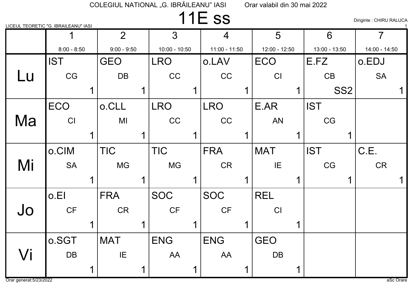## 11E ss

LICEUL TEORETIC "G. IBRAILEANU" IASI <sup>1</sup>

Diriginte : CHIRU RALUCA

|    |               | $\overline{2}$ |   | 3 <sup>1</sup>  | $\overline{4}$  | 5             | 6             |                 | $\overline{7}$ |  |
|----|---------------|----------------|---|-----------------|-----------------|---------------|---------------|-----------------|----------------|--|
|    | $8:00 - 8:50$ | $9:00 - 9:50$  |   | $10:00 - 10:50$ | $11:00 - 11:50$ | 12:00 - 12:50 | 13:00 - 13:50 |                 | 14:00 - 14:50  |  |
|    | <b>IST</b>    | <b>GEO</b>     |   | <b>LRO</b>      | o.LAV           | <b>ECO</b>    | E.FZ          |                 | o.EDJ          |  |
| Lu | CG            | DB             |   | CC              | CC              | CI            | CB            |                 | <b>SA</b>      |  |
|    |               |                |   |                 |                 |               |               | SS <sub>2</sub> |                |  |
|    | <b>ECO</b>    | o.CLL          |   | <b>LRO</b>      | <b>LRO</b>      | E.AR          | <b>IST</b>    |                 |                |  |
| Ma | CI            | MI             |   | CC              | CC              | <b>AN</b>     | CG            |                 |                |  |
|    |               |                |   |                 |                 |               |               |                 |                |  |
|    | o.CIM         | <b>TIC</b>     |   | <b>TIC</b>      | <b>FRA</b>      | <b>MAT</b>    | <b>IST</b>    |                 | C.E.           |  |
| Mi | <b>SA</b>     | <b>MG</b>      |   | <b>MG</b>       | <b>CR</b>       | IE            | CG            |                 | <b>CR</b>      |  |
|    |               |                |   |                 |                 |               |               |                 |                |  |
|    | o.El          | <b>FRA</b>     |   | <b>SOC</b>      | <b>SOC</b>      | <b>REL</b>    |               |                 |                |  |
| Jo | <b>CF</b>     | <b>CR</b>      |   | <b>CF</b>       | <b>CF</b>       | CI            |               |                 |                |  |
|    |               |                | 1 |                 |                 |               |               |                 |                |  |
|    | o SGT         | <b>MAT</b>     |   | <b>ENG</b>      | <b>ENG</b>      | <b>GEO</b>    |               |                 |                |  |
| Vi | <b>DB</b>     | IE             |   | AA              | AA              | DB            |               |                 |                |  |
|    |               |                |   |                 |                 |               |               |                 |                |  |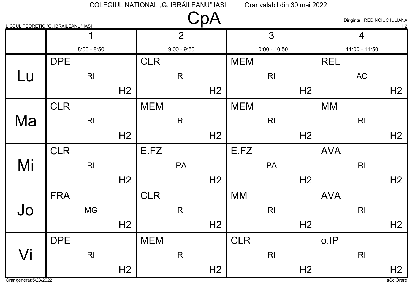| LICEUL TEORETIC "G. IBRAILEANU" IASI |            |                |                |            |                |                |            |                 |                |            | Diriginte : REDINCIUC IULIANA | H <sub>2</sub> |
|--------------------------------------|------------|----------------|----------------|------------|----------------|----------------|------------|-----------------|----------------|------------|-------------------------------|----------------|
|                                      |            | 1              |                |            | $\overline{2}$ |                |            | 3               |                |            | $\overline{4}$                |                |
|                                      |            | $8:00 - 8:50$  |                |            | $9:00 - 9:50$  |                |            | $10:00 - 10:50$ |                |            | $11:00 - 11:50$               |                |
|                                      | <b>DPE</b> |                |                | <b>CLR</b> |                |                | <b>MEM</b> |                 |                | <b>REL</b> |                               |                |
| Lu                                   |            | R <sub>l</sub> |                |            | R <sub>l</sub> |                |            | R <sub>l</sub>  |                |            | AC                            |                |
|                                      |            |                | H <sub>2</sub> |            |                | H <sub>2</sub> |            |                 | H <sub>2</sub> |            |                               | H <sub>2</sub> |
|                                      | <b>CLR</b> |                |                | <b>MEM</b> |                |                | <b>MEM</b> |                 |                | <b>MM</b>  |                               |                |
| Ma                                   |            | R <sub>l</sub> |                |            | R <sub>l</sub> |                |            | R <sub>l</sub>  |                |            | R <sub>l</sub>                |                |
|                                      |            |                | H <sub>2</sub> |            |                | H <sub>2</sub> |            |                 | H <sub>2</sub> |            |                               | H <sub>2</sub> |
|                                      | <b>CLR</b> |                |                | E.FZ       |                |                | E.FZ       |                 |                | <b>AVA</b> |                               |                |
| Mi                                   |            | R <sub>l</sub> |                |            | PA             |                |            | <b>PA</b>       |                |            | R <sub>l</sub>                |                |
|                                      |            |                | H <sub>2</sub> |            |                | H <sub>2</sub> |            |                 | H <sub>2</sub> |            |                               | H <sub>2</sub> |
|                                      | <b>FRA</b> |                |                | <b>CLR</b> |                |                | <b>MM</b>  |                 |                | <b>AVA</b> |                               |                |
| Jo                                   |            | <b>MG</b>      |                |            | R <sub>l</sub> |                |            | R <sub>l</sub>  |                |            | R <sub>l</sub>                |                |
|                                      |            |                | H <sub>2</sub> |            |                | H <sub>2</sub> |            |                 | H <sub>2</sub> |            |                               | H <sub>2</sub> |
|                                      | <b>DPE</b> |                |                | <b>MEM</b> |                |                | <b>CLR</b> |                 |                | o.IP       |                               |                |
| Vi                                   |            | $\mathsf{RI}$  |                |            | R <sub>l</sub> |                |            | R <sub>l</sub>  |                |            | R <sub>l</sub>                |                |
|                                      |            |                | H <sub>2</sub> |            |                | H <sub>2</sub> |            |                 | H <sub>2</sub> |            |                               | H <sub>2</sub> |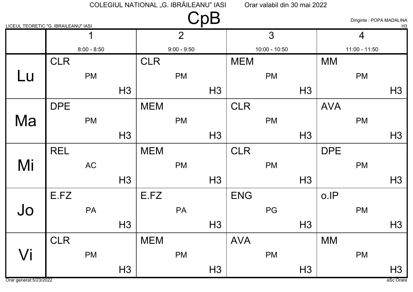| LICEUL TEORETIC "G. IBRAILEANU" IASI |            |               |                |            |                | $\mathsf{CpB}$ |            |                 |                |            | Diriginte : POPA MADALINA | H <sub>3</sub> |
|--------------------------------------|------------|---------------|----------------|------------|----------------|----------------|------------|-----------------|----------------|------------|---------------------------|----------------|
|                                      |            | $\mathbf 1$   |                |            | $\overline{2}$ |                |            | 3               |                |            | $\overline{4}$            |                |
|                                      |            | $8:00 - 8:50$ |                |            | $9:00 - 9:50$  |                |            | $10:00 - 10:50$ |                |            | $11:00 - 11:50$           |                |
|                                      | <b>CLR</b> |               |                | <b>CLR</b> |                |                | <b>MEM</b> |                 |                | <b>MM</b>  |                           |                |
| Lu                                   |            | <b>PM</b>     |                |            | <b>PM</b>      |                |            | <b>PM</b>       |                |            | <b>PM</b>                 |                |
|                                      |            |               | H <sub>3</sub> |            |                | H <sub>3</sub> |            |                 | H <sub>3</sub> |            |                           | H3             |
|                                      | <b>DPE</b> |               |                | <b>MEM</b> |                |                | <b>CLR</b> |                 |                | <b>AVA</b> |                           |                |
| Ma                                   |            | <b>PM</b>     |                |            | <b>PM</b>      |                |            | <b>PM</b>       |                |            | <b>PM</b>                 |                |
|                                      |            |               | H <sub>3</sub> |            |                | H3             |            |                 | H <sub>3</sub> |            |                           | H3             |
|                                      | <b>REL</b> |               |                | <b>MEM</b> |                |                | <b>CLR</b> |                 |                | <b>DPE</b> |                           |                |
| Mi                                   |            | AC            |                |            | <b>PM</b>      |                |            | <b>PM</b>       |                |            | <b>PM</b>                 |                |
|                                      |            |               | H <sub>3</sub> |            |                | H <sub>3</sub> |            |                 | H <sub>3</sub> |            |                           | H <sub>3</sub> |
|                                      | E.FZ       |               |                | E.FZ       |                |                | <b>ENG</b> |                 |                | o.IP       |                           |                |
| Jo                                   |            | <b>PA</b>     |                |            | <b>PA</b>      |                |            | PG              |                |            | <b>PM</b>                 |                |
|                                      |            |               | H <sub>3</sub> |            |                | H <sub>3</sub> |            |                 | H <sub>3</sub> |            |                           | H <sub>3</sub> |
|                                      | <b>CLR</b> |               |                | <b>MEM</b> |                |                | <b>AVA</b> |                 |                | <b>MM</b>  |                           |                |
| Vi                                   |            | <b>PM</b>     |                |            | PM             |                |            | PM              |                |            | <b>PM</b>                 |                |
|                                      |            |               | H3             |            |                | H3             |            |                 | H3             |            |                           | H3             |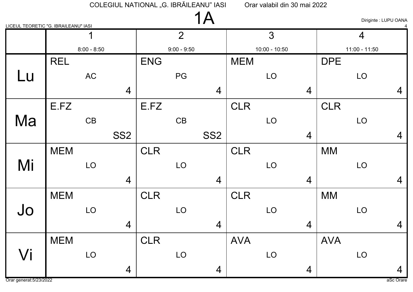| LICEUL TEORETIC "G. IBRAILEANU" IASI |            |               |                 |            |                | 1A              |            |                 |                |            | Diriginte : LUPU OANA |                |
|--------------------------------------|------------|---------------|-----------------|------------|----------------|-----------------|------------|-----------------|----------------|------------|-----------------------|----------------|
|                                      |            |               |                 |            | $\overline{2}$ |                 |            | 3               |                |            | $\overline{4}$        |                |
|                                      |            | $8:00 - 8:50$ |                 |            | $9:00 - 9:50$  |                 |            | $10:00 - 10:50$ |                |            | $11:00 - 11:50$       |                |
|                                      | <b>REL</b> |               |                 | <b>ENG</b> |                |                 | <b>MEM</b> |                 |                | <b>DPE</b> |                       |                |
| <b>Lu</b>                            |            | AC            |                 |            | PG             |                 |            | LO              |                |            | LO                    |                |
|                                      |            |               | $\overline{4}$  |            |                | $\overline{4}$  |            |                 | $\overline{4}$ |            |                       | $\overline{4}$ |
|                                      | E.FZ       |               |                 | E.FZ       |                |                 | <b>CLR</b> |                 |                | <b>CLR</b> |                       |                |
| Ma                                   |            | CB            |                 |            | CB             |                 |            | LO              |                |            | LO                    |                |
|                                      |            |               | SS <sub>2</sub> |            |                | SS <sub>2</sub> |            |                 | $\overline{4}$ |            |                       | $\overline{4}$ |
|                                      | <b>MEM</b> |               |                 | <b>CLR</b> |                |                 | <b>CLR</b> |                 |                | <b>MM</b>  |                       |                |
| Mi                                   |            | LO            |                 |            | LO             |                 |            | LO              |                |            | LO                    |                |
|                                      |            |               | $\overline{4}$  |            |                | $\overline{4}$  |            |                 | $\overline{4}$ |            |                       | $\overline{4}$ |
|                                      | <b>MEM</b> |               |                 | <b>CLR</b> |                |                 | <b>CLR</b> |                 |                | <b>MM</b>  |                       |                |
| Jo                                   |            | LO            |                 |            | LO             |                 |            | LO              |                |            | LO                    |                |
|                                      |            |               | $\overline{4}$  |            |                | 4               |            |                 | $\overline{4}$ |            |                       | $\overline{4}$ |
|                                      | <b>MEM</b> |               |                 | <b>CLR</b> |                |                 | <b>AVA</b> |                 |                | <b>AVA</b> |                       |                |
| Vi                                   |            | LO            |                 |            | LO             |                 |            | LO              |                |            | LO                    |                |
|                                      |            |               | $\overline{4}$  |            |                | $\overline{4}$  |            |                 | $\overline{4}$ |            |                       | $\overline{4}$ |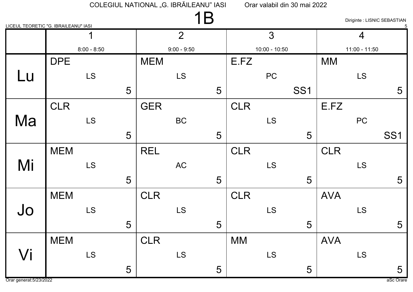| LICEUL TEORETIC "G. IBRAILEANU" IASI |            |               |   |            | 1B             |   |            |                 |                 |            |                 | Diriginte : LISNIC SEBASTIAN |
|--------------------------------------|------------|---------------|---|------------|----------------|---|------------|-----------------|-----------------|------------|-----------------|------------------------------|
|                                      |            | 1             |   |            | $\overline{2}$ |   |            | 3               |                 |            | $\overline{4}$  |                              |
|                                      |            | $8:00 - 8:50$ |   |            | $9:00 - 9:50$  |   |            | $10:00 - 10:50$ |                 |            | $11:00 - 11:50$ |                              |
|                                      | <b>DPE</b> |               |   | <b>MEM</b> |                |   | E.FZ       |                 |                 | <b>MM</b>  |                 |                              |
| Lu                                   |            | <b>LS</b>     |   |            | <b>LS</b>      |   |            | PC              |                 |            | <b>LS</b>       |                              |
|                                      |            |               | 5 |            |                | 5 |            |                 | SS <sub>1</sub> |            |                 | 5                            |
|                                      | <b>CLR</b> |               |   | <b>GER</b> |                |   | <b>CLR</b> |                 |                 | E.FZ       |                 |                              |
| Ma                                   |            | <b>LS</b>     |   |            | <b>BC</b>      |   |            | <b>LS</b>       |                 |            | PC              |                              |
|                                      |            |               | 5 |            |                | 5 |            |                 | 5               |            |                 | SS <sub>1</sub>              |
|                                      | <b>MEM</b> |               |   | <b>REL</b> |                |   | <b>CLR</b> |                 |                 | <b>CLR</b> |                 |                              |
| Mi                                   |            | <b>LS</b>     |   |            | <b>AC</b>      |   |            | <b>LS</b>       |                 |            | <b>LS</b>       |                              |
|                                      |            |               | 5 |            |                | 5 |            |                 | 5               |            |                 | 5                            |
|                                      | <b>MEM</b> |               |   | <b>CLR</b> |                |   | <b>CLR</b> |                 |                 | <b>AVA</b> |                 |                              |
| Jo                                   |            | <b>LS</b>     |   |            | <b>LS</b>      |   |            | <b>LS</b>       |                 |            | <b>LS</b>       |                              |
|                                      |            |               | 5 |            |                | 5 |            |                 | 5               |            |                 | 5                            |
|                                      | <b>MEM</b> |               |   | <b>CLR</b> |                |   | <b>MM</b>  |                 |                 | <b>AVA</b> |                 |                              |
| Vi                                   |            | LS            |   |            | LS             |   |            | <b>LS</b>       |                 |            | LS              |                              |
|                                      |            |               | 5 |            |                | 5 |            |                 | 5               |            |                 | 5                            |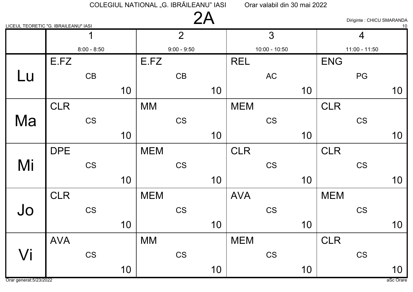|           | LICEUL TEORETIC "G. IBRAILEANU" IASI |    |               | 2A |            |                 |    |            | Diriginte : CHICU SMARANDA | 10 |
|-----------|--------------------------------------|----|---------------|----|------------|-----------------|----|------------|----------------------------|----|
|           | 1                                    |    | 2             |    |            | 3               |    |            | $\overline{4}$             |    |
|           | $8:00 - 8:50$                        |    | $9:00 - 9:50$ |    |            | $10:00 - 10:50$ |    |            | $11:00 - 11:50$            |    |
|           | E.FZ                                 |    | E.FZ          |    | <b>REL</b> |                 |    | <b>ENG</b> |                            |    |
| <u>Lu</u> | CB                                   |    | CB            |    |            | <b>AC</b>       |    |            | PG                         |    |
|           |                                      | 10 |               | 10 |            |                 | 10 |            |                            | 10 |
|           | <b>CLR</b>                           |    | <b>MM</b>     |    | <b>MEM</b> |                 |    | <b>CLR</b> |                            |    |
| Ma        | <b>CS</b>                            |    | CS            |    |            | <b>CS</b>       |    |            | <b>CS</b>                  |    |
|           |                                      | 10 |               | 10 |            |                 | 10 |            |                            | 10 |
|           | <b>DPE</b>                           |    | <b>MEM</b>    |    | <b>CLR</b> |                 |    | <b>CLR</b> |                            |    |
| Mi        | <b>CS</b>                            |    | <b>CS</b>     |    |            | <b>CS</b>       |    |            | <b>CS</b>                  |    |
|           |                                      | 10 |               | 10 |            |                 | 10 |            |                            | 10 |
|           | <b>CLR</b>                           |    | <b>MEM</b>    |    | <b>AVA</b> |                 |    | <b>MEM</b> |                            |    |
| Jo        | <b>CS</b>                            |    | <b>CS</b>     |    |            | <b>CS</b>       |    |            | <b>CS</b>                  |    |
|           |                                      | 10 |               | 10 |            |                 | 10 |            |                            | 10 |
|           | <b>AVA</b>                           |    | <b>MM</b>     |    | <b>MEM</b> |                 |    | <b>CLR</b> |                            |    |
| Vi        | CS                                   |    | CS            |    |            | CS              |    |            | CS                         |    |
|           |                                      | 10 |               | 10 |            |                 | 10 |            |                            | 10 |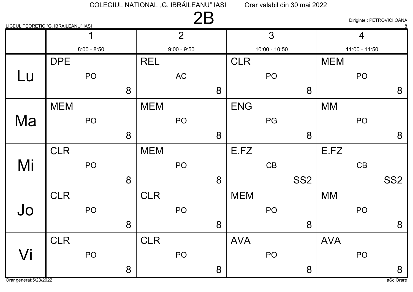| LICEUL TEORETIC "G. IBRAILEANU" IASI |            |                 |   |            | 2B             |   |            |                 |                 |            |                 | Diriginte : PETROVICI OANA |
|--------------------------------------|------------|-----------------|---|------------|----------------|---|------------|-----------------|-----------------|------------|-----------------|----------------------------|
|                                      |            | ◀               |   |            | $\overline{2}$ |   |            | 3               |                 |            | $\overline{4}$  |                            |
|                                      |            | $8:00 - 8:50$   |   |            | $9:00 - 9:50$  |   |            | $10:00 - 10:50$ |                 |            | $11:00 - 11:50$ |                            |
|                                      | <b>DPE</b> |                 |   | <b>REL</b> |                |   | <b>CLR</b> |                 |                 | <b>MEM</b> |                 |                            |
| Lu                                   |            | PO <sub>1</sub> |   |            | AC             |   |            | PO <sub>1</sub> |                 |            | PO              |                            |
|                                      |            |                 | 8 |            |                | 8 |            |                 | 8               |            |                 | 8                          |
|                                      | <b>MEM</b> |                 |   | <b>MEM</b> |                |   | <b>ENG</b> |                 |                 | <b>MM</b>  |                 |                            |
| Ma                                   |            | PO              |   |            | PO             |   |            | PG              |                 |            | PO              |                            |
|                                      |            |                 | 8 |            |                | 8 |            |                 | 8               |            |                 | 8                          |
|                                      | <b>CLR</b> |                 |   | <b>MEM</b> |                |   | E.FZ       |                 |                 | E.FZ       |                 |                            |
| Mi                                   |            | PO              |   |            | PO             |   |            | CB              |                 |            | CB              |                            |
|                                      |            |                 | 8 |            |                | 8 |            |                 | SS <sub>2</sub> |            |                 | SS <sub>2</sub>            |
|                                      | <b>CLR</b> |                 |   | <b>CLR</b> |                |   | <b>MEM</b> |                 |                 | <b>MM</b>  |                 |                            |
| Jo                                   |            | PO              |   |            | PO             |   |            | PO              |                 |            | PO              |                            |
|                                      |            |                 | 8 |            |                | 8 |            |                 | 8               |            |                 | 8                          |
|                                      | <b>CLR</b> |                 |   | <b>CLR</b> |                |   | <b>AVA</b> |                 |                 | <b>AVA</b> |                 |                            |
| Vi                                   |            | PO              |   |            | PO             |   |            | PO              |                 |            | PO              |                            |
|                                      |            |                 | 8 |            |                | 8 |            |                 | 8               |            |                 | 8                          |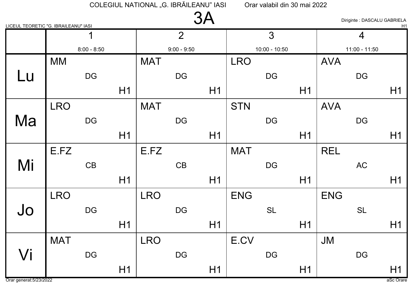| LICEUL TEORETIC "G. IBRAILEANU" IASI |            |                        |    |            |                | 3A |            |                        |    |            | Diriginte : DASCALU GABRIELA | H1 |
|--------------------------------------|------------|------------------------|----|------------|----------------|----|------------|------------------------|----|------------|------------------------------|----|
|                                      |            | 1                      |    |            | $\overline{2}$ |    |            | 3                      |    |            | $\overline{4}$               |    |
|                                      |            | $8:00 - 8:50$          |    |            | $9:00 - 9:50$  |    |            | $10:00 - 10:50$        |    |            | $11:00 - 11:50$              |    |
|                                      | <b>MM</b>  |                        |    | <b>MAT</b> |                |    | <b>LRO</b> |                        |    | <b>AVA</b> |                              |    |
| Lu                                   |            | <b>DG</b>              |    |            | DG             |    |            | <b>DG</b>              |    |            | <b>DG</b>                    |    |
|                                      |            |                        | H1 |            |                | H1 |            |                        | H1 |            |                              | H1 |
|                                      | <b>LRO</b> |                        |    | <b>MAT</b> |                |    | <b>STN</b> |                        |    | <b>AVA</b> |                              |    |
| Ma                                   |            | <b>DG</b>              |    |            | <b>DG</b>      |    |            | $\mathsf{D}\mathsf{G}$ |    |            | <b>DG</b>                    |    |
|                                      |            |                        | H1 |            |                | H1 |            |                        | H1 |            |                              | H1 |
|                                      | E.FZ       |                        |    | E.FZ       |                |    | <b>MAT</b> |                        |    | <b>REL</b> |                              |    |
| Mi                                   |            | CB                     |    |            | CB             |    |            | DG                     |    |            | <b>AC</b>                    |    |
|                                      |            |                        | H1 |            |                | H1 |            |                        | H1 |            |                              | H1 |
|                                      | <b>LRO</b> |                        |    | <b>LRO</b> |                |    | <b>ENG</b> |                        |    | <b>ENG</b> |                              |    |
| Jo                                   |            | <b>DG</b>              |    |            | DG             |    |            | <b>SL</b>              |    |            | <b>SL</b>                    |    |
|                                      |            |                        | H1 |            |                | H1 |            |                        | H1 |            |                              | H1 |
|                                      | <b>MAT</b> |                        |    | <b>LRO</b> |                |    | E.CV       |                        |    | JM         |                              |    |
| Vi                                   |            | $\mathsf{D}\mathsf{G}$ |    |            | <b>DG</b>      |    |            | $\mathsf{D}\mathsf{G}$ |    |            | DG                           |    |
|                                      |            |                        | H1 |            |                | H1 |            |                        | H1 |            |                              | H1 |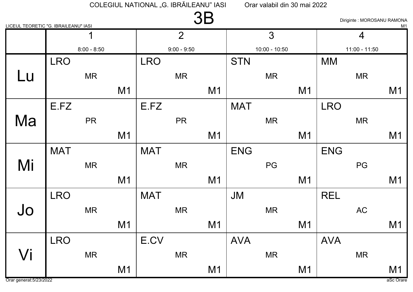| LICEUL TEORETIC "G. IBRAILEANU" IASI |            |               |                |            |                | <b>3B</b>      |            |                 |                |            | Diriginte: MOROSANU RAMONA | M1             |
|--------------------------------------|------------|---------------|----------------|------------|----------------|----------------|------------|-----------------|----------------|------------|----------------------------|----------------|
|                                      |            | 1             |                |            | $\overline{2}$ |                |            | 3               |                |            | $\overline{4}$             |                |
|                                      |            | $8:00 - 8:50$ |                |            | $9:00 - 9:50$  |                |            | $10:00 - 10:50$ |                |            | $11:00 - 11:50$            |                |
|                                      | <b>LRO</b> |               |                | <b>LRO</b> |                |                | <b>STN</b> |                 |                | <b>MM</b>  |                            |                |
| Lu                                   |            | <b>MR</b>     |                |            | <b>MR</b>      |                |            | <b>MR</b>       |                |            | <b>MR</b>                  |                |
|                                      |            |               | M <sub>1</sub> |            |                | M <sub>1</sub> |            |                 | M1             |            |                            | M <sub>1</sub> |
|                                      | E.FZ       |               |                | E.FZ       |                |                | <b>MAT</b> |                 |                | <b>LRO</b> |                            |                |
| Ma                                   |            | <b>PR</b>     |                |            | <b>PR</b>      |                |            | <b>MR</b>       |                |            | <b>MR</b>                  |                |
|                                      |            |               | M <sub>1</sub> |            |                | M <sub>1</sub> |            |                 | M <sub>1</sub> |            |                            | M <sub>1</sub> |
|                                      | <b>MAT</b> |               |                | <b>MAT</b> |                |                | <b>ENG</b> |                 |                | <b>ENG</b> |                            |                |
| Mi                                   |            | <b>MR</b>     |                |            | <b>MR</b>      |                |            | PG              |                |            | PG                         |                |
|                                      |            |               | M <sub>1</sub> |            |                | M <sub>1</sub> |            |                 | M1             |            |                            | M <sub>1</sub> |
|                                      | <b>LRO</b> |               |                | <b>MAT</b> |                |                | <b>JM</b>  |                 |                | <b>REL</b> |                            |                |
| Jo                                   |            | <b>MR</b>     |                |            | <b>MR</b>      |                |            | <b>MR</b>       |                |            | <b>AC</b>                  |                |
|                                      |            |               | M <sub>1</sub> |            |                | M <sub>1</sub> |            |                 | M1             |            |                            | M <sub>1</sub> |
|                                      | <b>LRO</b> |               |                | E.CV       |                |                | <b>AVA</b> |                 |                | <b>AVA</b> |                            |                |
| Vi                                   |            | <b>MR</b>     |                |            | <b>MR</b>      |                |            | <b>MR</b>       |                |            | <b>MR</b>                  |                |
|                                      |            |               | M1             |            |                | M1             |            |                 | M1             |            |                            | M1             |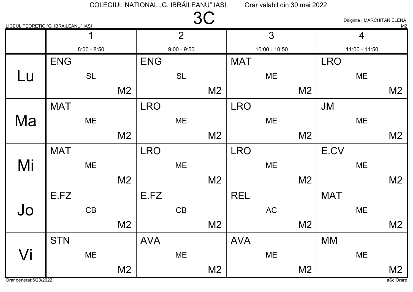|           | LICEUL TEORETIC "G. IBRAILEANU" IASI |                |            |                | 3C             |            |                 |                |            | Diriginte : MARCHITAN ELENA | M <sub>2</sub> |
|-----------|--------------------------------------|----------------|------------|----------------|----------------|------------|-----------------|----------------|------------|-----------------------------|----------------|
|           | 1                                    |                |            | $\overline{2}$ |                |            | 3               |                |            | $\overline{4}$              |                |
|           | $8:00 - 8:50$                        |                |            | $9:00 - 9:50$  |                |            | $10:00 - 10:50$ |                |            | $11:00 - 11:50$             |                |
|           | <b>ENG</b>                           |                | <b>ENG</b> |                |                | <b>MAT</b> |                 |                | <b>LRO</b> |                             |                |
| <u>Lu</u> | <b>SL</b>                            |                |            | <b>SL</b>      |                |            | ME              |                |            | ME                          |                |
|           |                                      | M <sub>2</sub> |            |                | M <sub>2</sub> |            |                 | M <sub>2</sub> |            |                             | M <sub>2</sub> |
|           | <b>MAT</b>                           |                | <b>LRO</b> |                |                | <b>LRO</b> |                 |                | <b>JM</b>  |                             |                |
| Ma        | ME                                   |                |            | ME             |                |            | ME              |                |            | ME                          |                |
|           |                                      | M <sub>2</sub> |            |                | M <sub>2</sub> |            |                 | M <sub>2</sub> |            |                             | M <sub>2</sub> |
|           | <b>MAT</b>                           |                | <b>LRO</b> |                |                | <b>LRO</b> |                 |                | E.CV       |                             |                |
| Mi        | ME                                   |                |            | <b>ME</b>      |                |            | ME              |                |            | ME                          |                |
|           |                                      | M <sub>2</sub> |            |                | M <sub>2</sub> |            |                 | M <sub>2</sub> |            |                             | M <sub>2</sub> |
|           | E.FZ                                 |                | E.FZ       |                |                | <b>REL</b> |                 |                | <b>MAT</b> |                             |                |
| Jo        | CB                                   |                |            | CB             |                |            | <b>AC</b>       |                |            | ME                          |                |
|           |                                      | M <sub>2</sub> |            |                | M <sub>2</sub> |            |                 | M <sub>2</sub> |            |                             | M <sub>2</sub> |
|           | <b>STN</b>                           |                | <b>AVA</b> |                |                | <b>AVA</b> |                 |                | <b>MM</b>  |                             |                |
| Vi        | ME                                   |                |            | <b>ME</b>      |                |            | ME              |                |            | ME                          |                |
|           |                                      | M <sub>2</sub> |            |                | M <sub>2</sub> |            |                 | M <sub>2</sub> |            |                             | M <sub>2</sub> |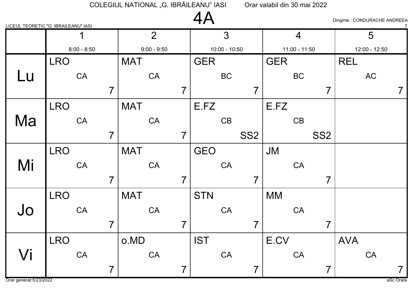|    | LICEUL TEORETIC "G. IBRAILEANU" IASI |                |            |                         | 4A         |                 |                 |            |                 |                 |            | Diriginte : CONDURACHE ANDREEA |                |
|----|--------------------------------------|----------------|------------|-------------------------|------------|-----------------|-----------------|------------|-----------------|-----------------|------------|--------------------------------|----------------|
|    |                                      |                |            | $\overline{2}$          |            | $\overline{3}$  |                 |            | $\overline{4}$  |                 |            | 5                              |                |
|    | $8:00 - 8:50$                        |                |            | $9:00 - 9:50$           |            | $10:00 - 10:50$ |                 |            | $11:00 - 11:50$ |                 |            | 12:00 - 12:50                  |                |
|    | <b>LRO</b>                           |                | <b>MAT</b> |                         | <b>GER</b> |                 |                 | <b>GER</b> |                 |                 | <b>REL</b> |                                |                |
| Lu | CA                                   |                |            | CA                      |            | <b>BC</b>       |                 |            | <b>BC</b>       |                 |            | AC                             |                |
|    |                                      | $\overline{7}$ |            | $\overline{\mathbf{z}}$ |            |                 | $\overline{7}$  |            |                 | $\overline{7}$  |            |                                | 7              |
|    | <b>LRO</b>                           |                | <b>MAT</b> |                         | E.FZ       |                 |                 | E.FZ       |                 |                 |            |                                |                |
| Ma | CA                                   |                |            | CA                      |            | CB              |                 |            | CB              |                 |            |                                |                |
|    |                                      | $\overline{7}$ |            | 7                       |            |                 | SS <sub>2</sub> |            |                 | SS <sub>2</sub> |            |                                |                |
|    | <b>LRO</b>                           |                | <b>MAT</b> |                         | <b>GEO</b> |                 |                 | <b>JM</b>  |                 |                 |            |                                |                |
| Mi | CA                                   |                |            | CA                      |            | CA              |                 |            | CA              |                 |            |                                |                |
|    |                                      | $\overline{7}$ |            | 7                       |            |                 | $\overline{7}$  |            |                 | $\overline{7}$  |            |                                |                |
|    | <b>LRO</b>                           |                | <b>MAT</b> |                         | <b>STN</b> |                 |                 | <b>MM</b>  |                 |                 |            |                                |                |
| Jo | CA                                   |                |            | CA                      |            | CA              |                 |            | CA              |                 |            |                                |                |
|    |                                      | $\overline{7}$ |            | 7                       |            |                 | $\overline{7}$  |            |                 | 7               |            |                                |                |
|    | <b>LRO</b>                           |                | o.MD       |                         | <b>IST</b> |                 |                 | E.CV       |                 |                 | <b>AVA</b> |                                |                |
| Vi | CA                                   |                |            | CA                      |            | CA              |                 |            | CA              |                 |            | CA                             |                |
|    |                                      | $\overline{7}$ |            | $\overline{7}$          |            |                 | $\overline{7}$  |            |                 | $\overline{7}$  |            |                                | $\overline{7}$ |